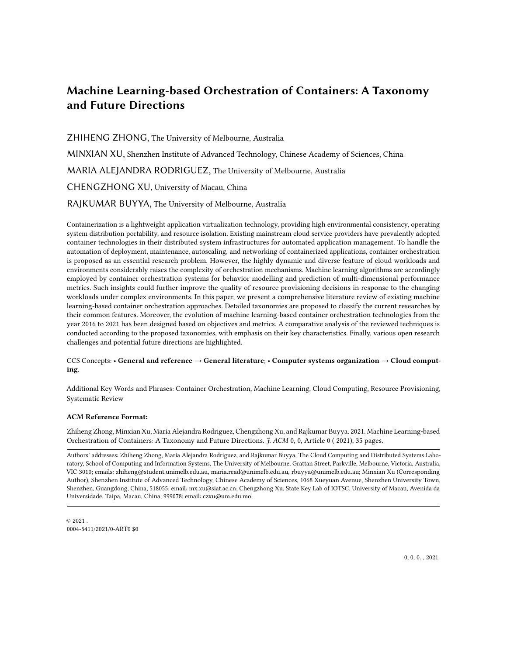# Machine Learning-based Orchestration of Containers: A Taxonomy and Future Directions

ZHIHENG ZHONG, The University of Melbourne, Australia MINXIAN XU, Shenzhen Institute of Advanced Technology, Chinese Academy of Sciences, China MARIA ALEJANDRA RODRIGUEZ, The University of Melbourne, Australia CHENGZHONG XU, University of Macau, China RAJKUMAR BUYYA, The University of Melbourne, Australia

Containerization is a lightweight application virtualization technology, providing high environmental consistency, operating system distribution portability, and resource isolation. Existing mainstream cloud service providers have prevalently adopted container technologies in their distributed system infrastructures for automated application management. To handle the automation of deployment, maintenance, autoscaling, and networking of containerized applications, container orchestration is proposed as an essential research problem. However, the highly dynamic and diverse feature of cloud workloads and environments considerably raises the complexity of orchestration mechanisms. Machine learning algorithms are accordingly employed by container orchestration systems for behavior modelling and prediction of multi-dimensional performance metrics. Such insights could further improve the quality of resource provisioning decisions in response to the changing workloads under complex environments. In this paper, we present a comprehensive literature review of existing machine learning-based container orchestration approaches. Detailed taxonomies are proposed to classify the current researches by their common features. Moreover, the evolution of machine learning-based container orchestration technologies from the year 2016 to 2021 has been designed based on objectives and metrics. A comparative analysis of the reviewed techniques is conducted according to the proposed taxonomies, with emphasis on their key characteristics. Finally, various open research challenges and potential future directions are highlighted.

### CCS Concepts: • General and reference → General literature; • Computer systems organization → Cloud computing.

Additional Key Words and Phrases: Container Orchestration, Machine Learning, Cloud Computing, Resource Provisioning, Systematic Review

### ACM Reference Format:

Zhiheng Zhong, Minxian Xu, Maria Alejandra Rodriguez, Chengzhong Xu, and Rajkumar Buyya. 2021. Machine Learning-based Orchestration of Containers: A Taxonomy and Future Directions. J. ACM 0, 0, Article 0 ( 2021), [35](#page-34-0) pages.

Authors' addresses: Zhiheng Zhong, Maria Alejandra Rodriguez, and Rajkumar Buyya, The Cloud Computing and Distributed Systems Laboratory, School of Computing and Information Systems, The University of Melbourne, Grattan Street, Parkville, Melbourne, Victoria, Australia, VIC 3010; emails: zhiheng@student.unimelb.edu.au, maria.read@unimelb.edu.au, rbuyya@unimelb.edu.au; Minxian Xu (Corresponding Author), Shenzhen Institute of Advanced Technology, Chinese Academy of Sciences, 1068 Xueyuan Avenue, Shenzhen University Town, Shenzhen, Guangdong, China, 518055; email: mx.xu@siat.ac.cn; Chengzhong Xu, State Key Lab of IOTSC, University of Macau, Avenida da Universidade, Taipa, Macau, China, 999078; email: czxu@um.edu.mo.

 $@2021$ 0004-5411/2021/0-ART0 \$0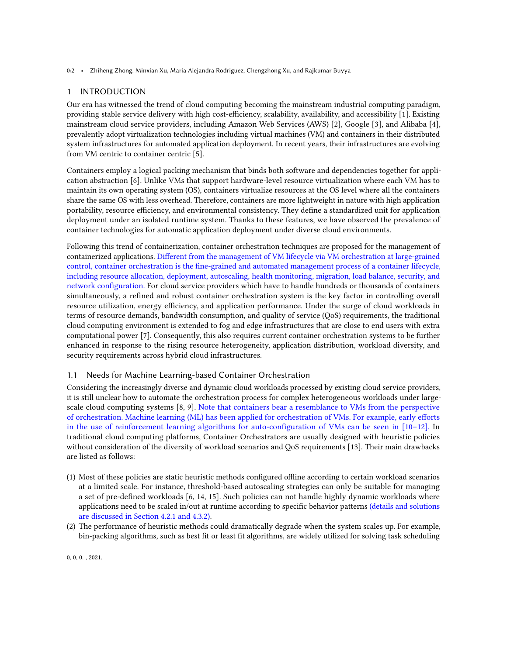0:2 • Zhiheng Zhong, Minxian Xu, Maria Alejandra Rodriguez, Chengzhong Xu, and Rajkumar Buyya

# 1 INTRODUCTION

Our era has witnessed the trend of cloud computing becoming the mainstream industrial computing paradigm, providing stable service delivery with high cost-efficiency, scalability, availability, and accessibility [\[1\]](#page-31-0). Existing mainstream cloud service providers, including Amazon Web Services (AWS) [\[2\]](#page-31-1), Google [\[3\]](#page-31-2), and Alibaba [\[4\]](#page-31-3), prevalently adopt virtualization technologies including virtual machines (VM) and containers in their distributed system infrastructures for automated application deployment. In recent years, their infrastructures are evolving from VM centric to container centric [\[5\]](#page-31-4).

Containers employ a logical packing mechanism that binds both software and dependencies together for application abstraction [\[6\]](#page-31-5). Unlike VMs that support hardware-level resource virtualization where each VM has to maintain its own operating system (OS), containers virtualize resources at the OS level where all the containers share the same OS with less overhead. Therefore, containers are more lightweight in nature with high application portability, resource efficiency, and environmental consistency. They define a standardized unit for application deployment under an isolated runtime system. Thanks to these features, we have observed the prevalence of container technologies for automatic application deployment under diverse cloud environments.

Following this trend of containerization, container orchestration techniques are proposed for the management of containerized applications. Different from the management of VM lifecycle via VM orchestration at large-grained control, container orchestration is the fine-grained and automated management process of a container lifecycle, including resource allocation, deployment, autoscaling, health monitoring, migration, load balance, security, and network configuration. For cloud service providers which have to handle hundreds or thousands of containers simultaneously, a refined and robust container orchestration system is the key factor in controlling overall resource utilization, energy efficiency, and application performance. Under the surge of cloud workloads in terms of resource demands, bandwidth consumption, and quality of service (QoS) requirements, the traditional cloud computing environment is extended to fog and edge infrastructures that are close to end users with extra computational power [\[7\]](#page-31-6). Consequently, this also requires current container orchestration systems to be further enhanced in response to the rising resource heterogeneity, application distribution, workload diversity, and security requirements across hybrid cloud infrastructures.

# 1.1 Needs for Machine Learning-based Container Orchestration

Considering the increasingly diverse and dynamic cloud workloads processed by existing cloud service providers, it is still unclear how to automate the orchestration process for complex heterogeneous workloads under largescale cloud computing systems [\[8,](#page-31-7) [9\]](#page-31-8). Note that containers bear a resemblance to VMs from the perspective of orchestration. Machine learning (ML) has been applied for orchestration of VMs. For example, early efforts in the use of reinforcement learning algorithms for auto-configuration of VMs can be seen in [\[10](#page-31-9)[–12\]](#page-31-10). In traditional cloud computing platforms, Container Orchestrators are usually designed with heuristic policies without consideration of the diversity of workload scenarios and QoS requirements [\[13\]](#page-31-11). Their main drawbacks are listed as follows:

- (1) Most of these policies are static heuristic methods configured offline according to certain workload scenarios at a limited scale. For instance, threshold-based autoscaling strategies can only be suitable for managing a set of pre-defined workloads [\[6,](#page-31-5) [14,](#page-31-12) [15\]](#page-31-13). Such policies can not handle highly dynamic workloads where applications need to be scaled in/out at runtime according to specific behavior patterns (details and solutions are discussed in Section 4.2.1 and 4.3.2).
- (2) The performance of heuristic methods could dramatically degrade when the system scales up. For example, bin-packing algorithms, such as best fit or least fit algorithms, are widely utilized for solving task scheduling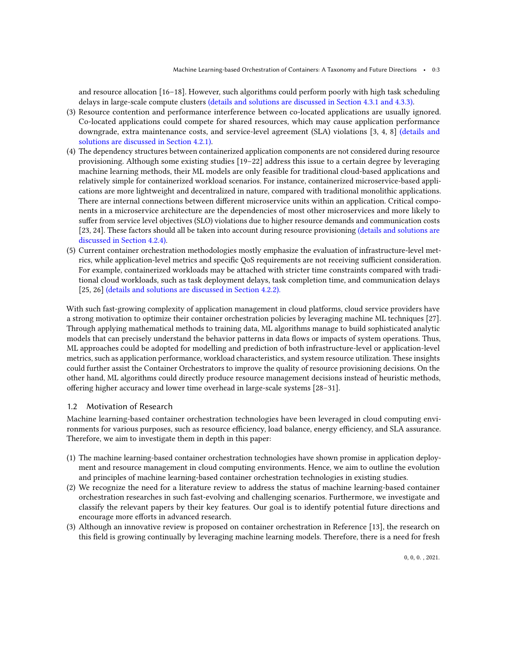and resource allocation [\[16](#page-31-14)[–18\]](#page-31-15). However, such algorithms could perform poorly with high task scheduling delays in large-scale compute clusters (details and solutions are discussed in Section 4.3.1 and 4.3.3).

- (3) Resource contention and performance interference between co-located applications are usually ignored. Co-located applications could compete for shared resources, which may cause application performance downgrade, extra maintenance costs, and service-level agreement (SLA) violations [\[3,](#page-31-2) [4,](#page-31-3) [8\]](#page-31-7) (details and solutions are discussed in Section 4.2.1).
- (4) The dependency structures between containerized application components are not considered during resource provisioning. Although some existing studies [\[19](#page-31-16)[–22\]](#page-31-17) address this issue to a certain degree by leveraging machine learning methods, their ML models are only feasible for traditional cloud-based applications and relatively simple for containerized workload scenarios. For instance, containerized microservice-based applications are more lightweight and decentralized in nature, compared with traditional monolithic applications. There are internal connections between different microservice units within an application. Critical components in a microservice architecture are the dependencies of most other microservices and more likely to suffer from service level objectives (SLO) violations due to higher resource demands and communication costs [\[23,](#page-31-18) [24\]](#page-31-19). These factors should all be taken into account during resource provisioning (details and solutions are discussed in Section 4.2.4).
- (5) Current container orchestration methodologies mostly emphasize the evaluation of infrastructure-level metrics, while application-level metrics and specific QoS requirements are not receiving sufficient consideration. For example, containerized workloads may be attached with stricter time constraints compared with traditional cloud workloads, such as task deployment delays, task completion time, and communication delays [\[25,](#page-32-0) [26\]](#page-32-1) (details and solutions are discussed in Section 4.2.2).

With such fast-growing complexity of application management in cloud platforms, cloud service providers have a strong motivation to optimize their container orchestration policies by leveraging machine ML techniques [\[27\]](#page-32-2). Through applying mathematical methods to training data, ML algorithms manage to build sophisticated analytic models that can precisely understand the behavior patterns in data flows or impacts of system operations. Thus, ML approaches could be adopted for modelling and prediction of both infrastructure-level or application-level metrics, such as application performance, workload characteristics, and system resource utilization. These insights could further assist the Container Orchestrators to improve the quality of resource provisioning decisions. On the other hand, ML algorithms could directly produce resource management decisions instead of heuristic methods, offering higher accuracy and lower time overhead in large-scale systems [\[28–](#page-32-3)[31\]](#page-32-4).

# 1.2 Motivation of Research

Machine learning-based container orchestration technologies have been leveraged in cloud computing environments for various purposes, such as resource efficiency, load balance, energy efficiency, and SLA assurance. Therefore, we aim to investigate them in depth in this paper:

- (1) The machine learning-based container orchestration technologies have shown promise in application deployment and resource management in cloud computing environments. Hence, we aim to outline the evolution and principles of machine learning-based container orchestration technologies in existing studies.
- (2) We recognize the need for a literature review to address the status of machine learning-based container orchestration researches in such fast-evolving and challenging scenarios. Furthermore, we investigate and classify the relevant papers by their key features. Our goal is to identify potential future directions and encourage more efforts in advanced research.
- (3) Although an innovative review is proposed on container orchestration in Reference [\[13\]](#page-31-11), the research on this field is growing continually by leveraging machine learning models. Therefore, there is a need for fresh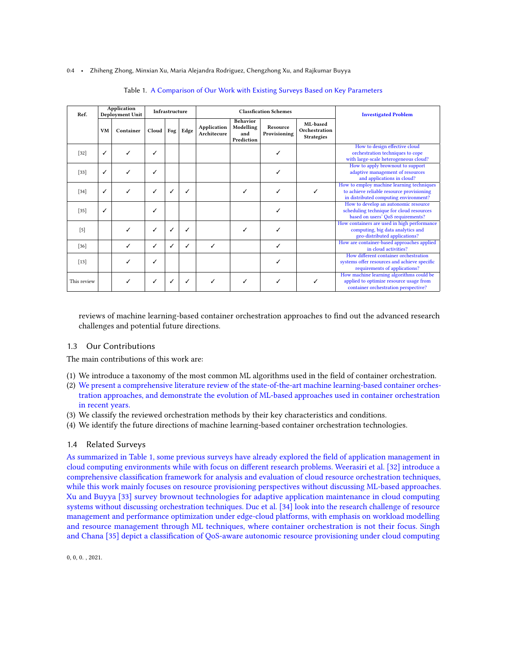#### <span id="page-3-0"></span>0:4 • Zhiheng Zhong, Minxian Xu, Maria Alejandra Rodriguez, Chengzhong Xu, and Rajkumar Buyya

| Ref.        |    | Application<br>Deployment Unit | Infrastructure |     | <b>Classfication Schemes</b> |                                   |                                                   |                          |                                                |                                                                                                                                 |  | <b>Investigated Problem</b> |
|-------------|----|--------------------------------|----------------|-----|------------------------------|-----------------------------------|---------------------------------------------------|--------------------------|------------------------------------------------|---------------------------------------------------------------------------------------------------------------------------------|--|-----------------------------|
|             | VM | Container                      | Cloud          | Fog | Edge                         | <b>Application</b><br>Architecure | <b>Behavior</b><br>Modelling<br>and<br>Prediction | Resource<br>Provisioning | ML-based<br>Orchestration<br><b>Strategies</b> |                                                                                                                                 |  |                             |
| $[32]$      | ✓  | ℐ                              | ✓              |     |                              |                                   |                                                   | ✓                        |                                                | How to design effective cloud<br>orchestration techniques to cope<br>with large-scale heterogeneous cloud?                      |  |                             |
| $[33]$      |    | ℐ                              | ✓              |     |                              |                                   |                                                   | ✓                        |                                                | How to apply brownout to support<br>adaptive management of resources<br>and applications in cloud?                              |  |                             |
| $[34]$      | ✓  | ✓                              | ✓              | ℐ   | ✓                            |                                   |                                                   | ✓                        |                                                | How to employ machine learning techniques<br>to achieve reliable resource provisioning<br>in distributed computing environment? |  |                             |
| $[35]$      | ✓  |                                | ✓              |     |                              |                                   |                                                   | ✓                        |                                                | How to develop an autonomic resource<br>scheduling technique for cloud resources<br>based on users' QoS requirements?           |  |                             |
| $[5]$       |    | ✓                              | ✓              |     |                              |                                   |                                                   | ✓                        |                                                | How containers are used in high performance<br>computing, big data analytics and<br>geo-distributed applications?               |  |                             |
| $[36]$      |    | ✓                              | ✓              | ℐ   | ✓                            | ✓                                 |                                                   | ✓                        |                                                | How are container-based approaches applied<br>in cloud activities?                                                              |  |                             |
| $[13]$      |    | ✓                              | ✓              |     |                              |                                   |                                                   | ℐ                        |                                                | How different container orchestration<br>systems offer resources and achieve specific<br>requirements of applications?          |  |                             |
| This review |    | ✓                              | ✓              |     |                              |                                   |                                                   | ✓                        |                                                | How machine learning algorithms could be<br>applied to optimize resource usage from<br>container orchestration perspective?     |  |                             |

#### Table 1. A Comparison of Our Work with Existing Surveys Based on Key Parameters

reviews of machine learning-based container orchestration approaches to find out the advanced research challenges and potential future directions.

# 1.3 Our Contributions

The main contributions of this work are:

- (1) We introduce a taxonomy of the most common ML algorithms used in the field of container orchestration.
- (2) We present a comprehensive literature review of the state-of-the-art machine learning-based container orchestration approaches, and demonstrate the evolution of ML-based approaches used in container orchestration in recent years.
- (3) We classify the reviewed orchestration methods by their key characteristics and conditions.
- (4) We identify the future directions of machine learning-based container orchestration technologies.

### 1.4 Related Surveys

As summarized in Table [1,](#page-3-0) some previous surveys have already explored the field of application management in cloud computing environments while with focus on different research problems. Weerasiri et al. [\[32\]](#page-32-5) introduce a comprehensive classification framework for analysis and evaluation of cloud resource orchestration techniques, while this work mainly focuses on resource provisioning perspectives without discussing ML-based approaches. Xu and Buyya [\[33\]](#page-32-6) survey brownout technologies for adaptive application maintenance in cloud computing systems without discussing orchestration techniques. Duc et al. [\[34\]](#page-32-7) look into the research challenge of resource management and performance optimization under edge-cloud platforms, with emphasis on workload modelling and resource management through ML techniques, where container orchestration is not their focus. Singh and Chana [\[35\]](#page-32-8) depict a classification of QoS-aware autonomic resource provisioning under cloud computing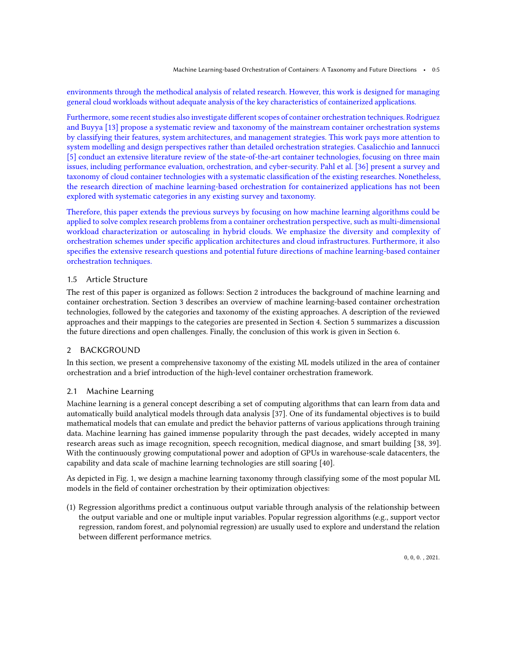environments through the methodical analysis of related research. However, this work is designed for managing general cloud workloads without adequate analysis of the key characteristics of containerized applications.

Furthermore, some recent studies also investigate different scopes of container orchestration techniques. Rodriguez and Buyya [\[13\]](#page-31-11) propose a systematic review and taxonomy of the mainstream container orchestration systems by classifying their features, system architectures, and management strategies. This work pays more attention to system modelling and design perspectives rather than detailed orchestration strategies. Casalicchio and Iannucci [\[5\]](#page-31-4) conduct an extensive literature review of the state-of-the-art container technologies, focusing on three main issues, including performance evaluation, orchestration, and cyber-security. Pahl et al. [\[36\]](#page-32-9) present a survey and taxonomy of cloud container technologies with a systematic classification of the existing researches. Nonetheless, the research direction of machine learning-based orchestration for containerized applications has not been explored with systematic categories in any existing survey and taxonomy.

Therefore, this paper extends the previous surveys by focusing on how machine learning algorithms could be applied to solve complex research problems from a container orchestration perspective, such as multi-dimensional workload characterization or autoscaling in hybrid clouds. We emphasize the diversity and complexity of orchestration schemes under specific application architectures and cloud infrastructures. Furthermore, it also specifies the extensive research questions and potential future directions of machine learning-based container orchestration techniques.

# 1.5 Article Structure

The rest of this paper is organized as follows: Section [2](#page-4-0) introduces the background of machine learning and container orchestration. Section [3](#page-8-0) describes an overview of machine learning-based container orchestration technologies, followed by the categories and taxonomy of the existing approaches. A description of the reviewed approaches and their mappings to the categories are presented in Section [4.](#page-16-0) Section [5](#page-27-0) summarizes a discussion the future directions and open challenges. Finally, the conclusion of this work is given in Section [6.](#page-30-0)

# <span id="page-4-0"></span>2 BACKGROUND

In this section, we present a comprehensive taxonomy of the existing ML models utilized in the area of container orchestration and a brief introduction of the high-level container orchestration framework.

# 2.1 Machine Learning

Machine learning is a general concept describing a set of computing algorithms that can learn from data and automatically build analytical models through data analysis [\[37\]](#page-32-10). One of its fundamental objectives is to build mathematical models that can emulate and predict the behavior patterns of various applications through training data. Machine learning has gained immense popularity through the past decades, widely accepted in many research areas such as image recognition, speech recognition, medical diagnose, and smart building [\[38,](#page-32-11) [39\]](#page-32-12). With the continuously growing computational power and adoption of GPUs in warehouse-scale datacenters, the capability and data scale of machine learning technologies are still soaring [\[40\]](#page-32-13).

As depicted in Fig. [1,](#page-5-0) we design a machine learning taxonomy through classifying some of the most popular ML models in the field of container orchestration by their optimization objectives:

(1) Regression algorithms predict a continuous output variable through analysis of the relationship between the output variable and one or multiple input variables. Popular regression algorithms (e.g., support vector regression, random forest, and polynomial regression) are usually used to explore and understand the relation between different performance metrics.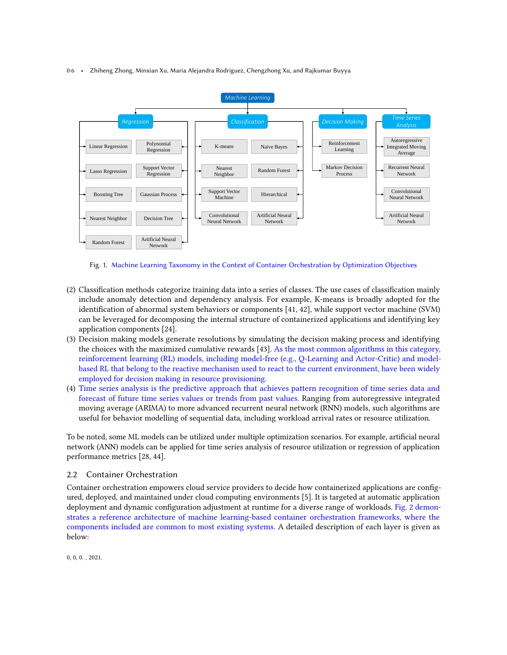#### 0:6 • Zhiheng Zhong, Minxian Xu, Maria Alejandra Rodriguez, Chengzhong Xu, and Rajkumar Buyya

<span id="page-5-0"></span>

Fig. 1. Machine Learning Taxonomy in the Context of Container Orchestration by Optimization Objectives

- (2) Classification methods categorize training data into a series of classes. The use cases of classification mainly include anomaly detection and dependency analysis. For example, K-means is broadly adopted for the identification of abnormal system behaviors or components [\[41,](#page-32-14) [42\]](#page-32-15), while support vector machine (SVM) can be leveraged for decomposing the internal structure of containerized applications and identifying key application components [\[24\]](#page-31-19).
- (3) Decision making models generate resolutions by simulating the decision making process and identifying the choices with the maximized cumulative rewards [\[43\]](#page-32-16). As the most common algorithms in this category, reinforcement learning (RL) models, including model-free (e.g., Q-Learning and Actor-Critic) and modelbased RL that belong to the reactive mechanism used to react to the current environment, have been widely employed for decision making in resource provisioning.
- (4) Time series analysis is the predictive approach that achieves pattern recognition of time series data and forecast of future time series values or trends from past values. Ranging from autoregressive integrated moving average (ARIMA) to more advanced recurrent neural network (RNN) models, such algorithms are useful for behavior modelling of sequential data, including workload arrival rates or resource utilization.

To be noted, some ML models can be utilized under multiple optimization scenarios. For example, artificial neural network (ANN) models can be applied for time series analysis of resource utilization or regression of application performance metrics [\[28,](#page-32-3) [44\]](#page-32-17).

# 2.2 Container Orchestration

Container orchestration empowers cloud service providers to decide how containerized applications are configured, deployed, and maintained under cloud computing environments [\[5\]](#page-31-4). It is targeted at automatic application deployment and dynamic configuration adjustment at runtime for a diverse range of workloads. Fig. [2](#page-6-0) demonstrates a reference architecture of machine learning-based container orchestration frameworks, where the components included are common to most existing systems. A detailed description of each layer is given as below: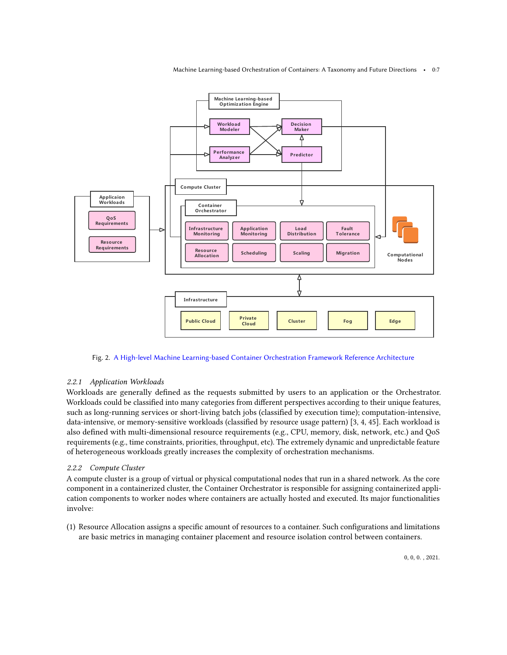Machine Learning-based Orchestration of Containers: A Taxonomy and Future Directions • 0:7

<span id="page-6-0"></span>

Fig. 2. A High-level Machine Learning-based Container Orchestration Framework Reference Architecture

# 2.2.1 Application Workloads

Workloads are generally defined as the requests submitted by users to an application or the Orchestrator. Workloads could be classified into many categories from different perspectives according to their unique features, such as long-running services or short-living batch jobs (classified by execution time); computation-intensive, data-intensive, or memory-sensitive workloads (classified by resource usage pattern) [\[3,](#page-31-2) [4,](#page-31-3) [45\]](#page-32-18). Each workload is also defined with multi-dimensional resource requirements (e.g., CPU, memory, disk, network, etc.) and QoS requirements (e.g., time constraints, priorities, throughput, etc). The extremely dynamic and unpredictable feature of heterogeneous workloads greatly increases the complexity of orchestration mechanisms.

# 2.2.2 Compute Cluster

A compute cluster is a group of virtual or physical computational nodes that run in a shared network. As the core component in a containerized cluster, the Container Orchestrator is responsible for assigning containerized application components to worker nodes where containers are actually hosted and executed. Its major functionalities involve:

(1) Resource Allocation assigns a specific amount of resources to a container. Such configurations and limitations are basic metrics in managing container placement and resource isolation control between containers.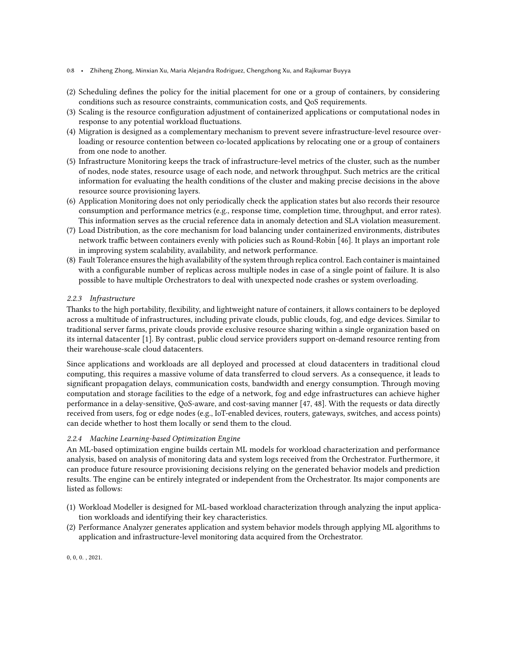- 0:8 Zhiheng Zhong, Minxian Xu, Maria Alejandra Rodriguez, Chengzhong Xu, and Rajkumar Buyya
- (2) Scheduling defines the policy for the initial placement for one or a group of containers, by considering conditions such as resource constraints, communication costs, and QoS requirements.
- (3) Scaling is the resource configuration adjustment of containerized applications or computational nodes in response to any potential workload fluctuations.
- (4) Migration is designed as a complementary mechanism to prevent severe infrastructure-level resource overloading or resource contention between co-located applications by relocating one or a group of containers from one node to another.
- (5) Infrastructure Monitoring keeps the track of infrastructure-level metrics of the cluster, such as the number of nodes, node states, resource usage of each node, and network throughput. Such metrics are the critical information for evaluating the health conditions of the cluster and making precise decisions in the above resource source provisioning layers.
- (6) Application Monitoring does not only periodically check the application states but also records their resource consumption and performance metrics (e.g., response time, completion time, throughput, and error rates). This information serves as the crucial reference data in anomaly detection and SLA violation measurement.
- (7) Load Distribution, as the core mechanism for load balancing under containerized environments, distributes network traffic between containers evenly with policies such as Round-Robin [\[46\]](#page-32-19). It plays an important role in improving system scalability, availability, and network performance.
- (8) Fault Tolerance ensures the high availability of the system through replica control. Each container is maintained with a configurable number of replicas across multiple nodes in case of a single point of failure. It is also possible to have multiple Orchestrators to deal with unexpected node crashes or system overloading.

# 2.2.3 Infrastructure

Thanks to the high portability, flexibility, and lightweight nature of containers, it allows containers to be deployed across a multitude of infrastructures, including private clouds, public clouds, fog, and edge devices. Similar to traditional server farms, private clouds provide exclusive resource sharing within a single organization based on its internal datacenter [\[1\]](#page-31-0). By contrast, public cloud service providers support on-demand resource renting from their warehouse-scale cloud datacenters.

Since applications and workloads are all deployed and processed at cloud datacenters in traditional cloud computing, this requires a massive volume of data transferred to cloud servers. As a consequence, it leads to significant propagation delays, communication costs, bandwidth and energy consumption. Through moving computation and storage facilities to the edge of a network, fog and edge infrastructures can achieve higher performance in a delay-sensitive, QoS-aware, and cost-saving manner [\[47,](#page-32-20) [48\]](#page-32-21). With the requests or data directly received from users, fog or edge nodes (e.g., IoT-enabled devices, routers, gateways, switches, and access points) can decide whether to host them locally or send them to the cloud.

# <span id="page-7-0"></span>2.2.4 Machine Learning-based Optimization Engine

An ML-based optimization engine builds certain ML models for workload characterization and performance analysis, based on analysis of monitoring data and system logs received from the Orchestrator. Furthermore, it can produce future resource provisioning decisions relying on the generated behavior models and prediction results. The engine can be entirely integrated or independent from the Orchestrator. Its major components are listed as follows:

- (1) Workload Modeller is designed for ML-based workload characterization through analyzing the input application workloads and identifying their key characteristics.
- (2) Performance Analyzer generates application and system behavior models through applying ML algorithms to application and infrastructure-level monitoring data acquired from the Orchestrator.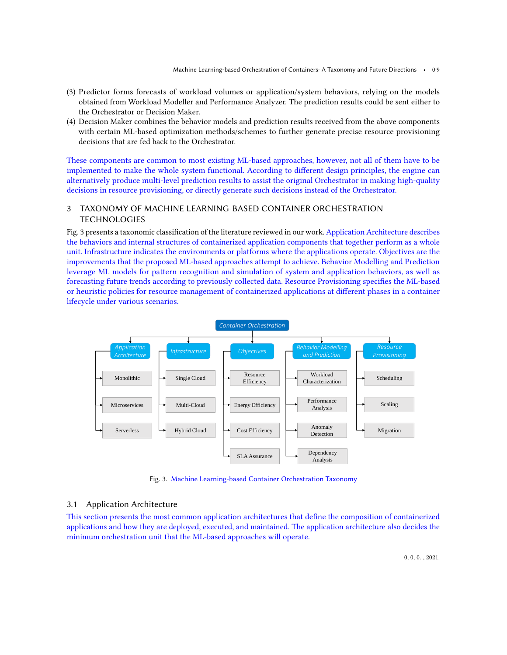- (3) Predictor forms forecasts of workload volumes or application/system behaviors, relying on the models obtained from Workload Modeller and Performance Analyzer. The prediction results could be sent either to the Orchestrator or Decision Maker.
- (4) Decision Maker combines the behavior models and prediction results received from the above components with certain ML-based optimization methods/schemes to further generate precise resource provisioning decisions that are fed back to the Orchestrator.

These components are common to most existing ML-based approaches, however, not all of them have to be implemented to make the whole system functional. According to different design principles, the engine can alternatively produce multi-level prediction results to assist the original Orchestrator in making high-quality decisions in resource provisioning, or directly generate such decisions instead of the Orchestrator.

# <span id="page-8-0"></span>3 TAXONOMY OF MACHINE LEARNING-BASED CONTAINER ORCHESTRATION **TECHNOLOGIES**

Fig. [3](#page-8-1) presents a taxonomic classification of the literature reviewed in our work. Application Architecture describes the behaviors and internal structures of containerized application components that together perform as a whole unit. Infrastructure indicates the environments or platforms where the applications operate. Objectives are the improvements that the proposed ML-based approaches attempt to achieve. Behavior Modelling and Prediction leverage ML models for pattern recognition and simulation of system and application behaviors, as well as forecasting future trends according to previously collected data. Resource Provisioning specifies the ML-based or heuristic policies for resource management of containerized applications at different phases in a container lifecycle under various scenarios.

<span id="page-8-1"></span>

Fig. 3. Machine Learning-based Container Orchestration Taxonomy

# 3.1 Application Architecture

This section presents the most common application architectures that define the composition of containerized applications and how they are deployed, executed, and maintained. The application architecture also decides the minimum orchestration unit that the ML-based approaches will operate.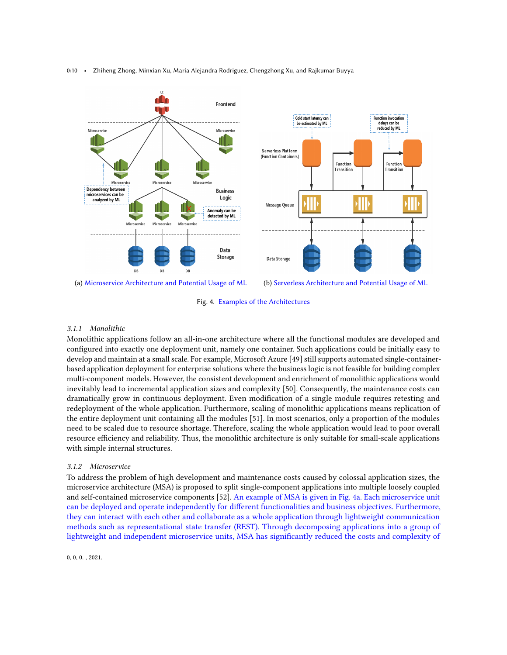<span id="page-9-0"></span>

0:10 • Zhiheng Zhong, Minxian Xu, Maria Alejandra Rodriguez, Chengzhong Xu, and Rajkumar Buyya



# 3.1.1 Monolithic

Monolithic applications follow an all-in-one architecture where all the functional modules are developed and configured into exactly one deployment unit, namely one container. Such applications could be initially easy to develop and maintain at a small scale. For example, Microsoft Azure [\[49\]](#page-32-22) still supports automated single-containerbased application deployment for enterprise solutions where the business logic is not feasible for building complex multi-component models. However, the consistent development and enrichment of monolithic applications would inevitably lead to incremental application sizes and complexity [\[50\]](#page-32-23). Consequently, the maintenance costs can dramatically grow in continuous deployment. Even modification of a single module requires retesting and redeployment of the whole application. Furthermore, scaling of monolithic applications means replication of the entire deployment unit containing all the modules [\[51\]](#page-33-0). In most scenarios, only a proportion of the modules need to be scaled due to resource shortage. Therefore, scaling the whole application would lead to poor overall resource efficiency and reliability. Thus, the monolithic architecture is only suitable for small-scale applications with simple internal structures.

# 3.1.2 Microservice

To address the problem of high development and maintenance costs caused by colossal application sizes, the microservice architecture (MSA) is proposed to split single-component applications into multiple loosely coupled and self-contained microservice components [\[52\]](#page-33-1). An example of MSA is given in Fig. [4a.](#page-9-0) Each microservice unit can be deployed and operate independently for different functionalities and business objectives. Furthermore, they can interact with each other and collaborate as a whole application through lightweight communication methods such as representational state transfer (REST). Through decomposing applications into a group of lightweight and independent microservice units, MSA has significantly reduced the costs and complexity of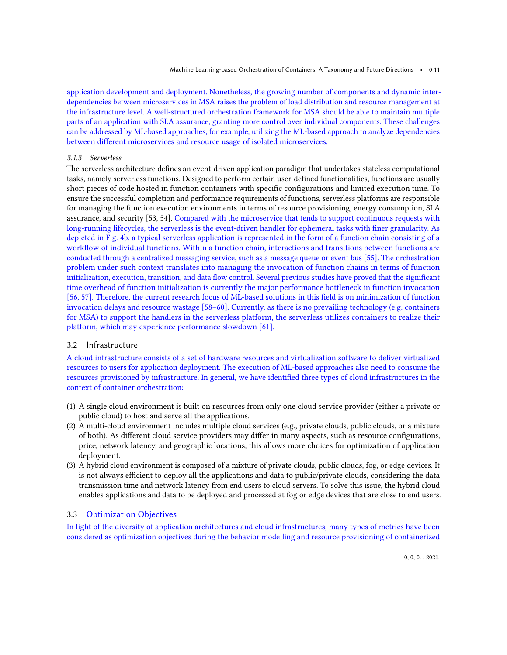application development and deployment. Nonetheless, the growing number of components and dynamic interdependencies between microservices in MSA raises the problem of load distribution and resource management at the infrastructure level. A well-structured orchestration framework for MSA should be able to maintain multiple parts of an application with SLA assurance, granting more control over individual components. These challenges can be addressed by ML-based approaches, for example, utilizing the ML-based approach to analyze dependencies between different microservices and resource usage of isolated microservices.

# 3.1.3 Serverless

The serverless architecture defines an event-driven application paradigm that undertakes stateless computational tasks, namely serverless functions. Designed to perform certain user-defined functionalities, functions are usually short pieces of code hosted in function containers with specific configurations and limited execution time. To ensure the successful completion and performance requirements of functions, serverless platforms are responsible for managing the function execution environments in terms of resource provisioning, energy consumption, SLA assurance, and security [\[53,](#page-33-2) [54\]](#page-33-3). Compared with the microservice that tends to support continuous requests with long-running lifecycles, the serverless is the event-driven handler for ephemeral tasks with finer granularity. As depicted in Fig. [4b,](#page-9-0) a typical serverless application is represented in the form of a function chain consisting of a workflow of individual functions. Within a function chain, interactions and transitions between functions are conducted through a centralized messaging service, such as a message queue or event bus [\[55\]](#page-33-4). The orchestration problem under such context translates into managing the invocation of function chains in terms of function initialization, execution, transition, and data flow control. Several previous studies have proved that the significant time overhead of function initialization is currently the major performance bottleneck in function invocation [\[56,](#page-33-5) [57\]](#page-33-6). Therefore, the current research focus of ML-based solutions in this field is on minimization of function invocation delays and resource wastage [\[58](#page-33-7)[–60\]](#page-33-8). Currently, as there is no prevailing technology (e.g. containers for MSA) to support the handlers in the serverless platform, the serverless utilizes containers to realize their platform, which may experience performance slowdown [\[61\]](#page-33-9).

# 3.2 Infrastructure

A cloud infrastructure consists of a set of hardware resources and virtualization software to deliver virtualized resources to users for application deployment. The execution of ML-based approaches also need to consume the resources provisioned by infrastructure. In general, we have identified three types of cloud infrastructures in the context of container orchestration:

- (1) A single cloud environment is built on resources from only one cloud service provider (either a private or public cloud) to host and serve all the applications.
- (2) A multi-cloud environment includes multiple cloud services (e.g., private clouds, public clouds, or a mixture of both). As different cloud service providers may differ in many aspects, such as resource configurations, price, network latency, and geographic locations, this allows more choices for optimization of application deployment.
- (3) A hybrid cloud environment is composed of a mixture of private clouds, public clouds, fog, or edge devices. It is not always efficient to deploy all the applications and data to public/private clouds, considering the data transmission time and network latency from end users to cloud servers. To solve this issue, the hybrid cloud enables applications and data to be deployed and processed at fog or edge devices that are close to end users.

# 3.3 Optimization Objectives

In light of the diversity of application architectures and cloud infrastructures, many types of metrics have been considered as optimization objectives during the behavior modelling and resource provisioning of containerized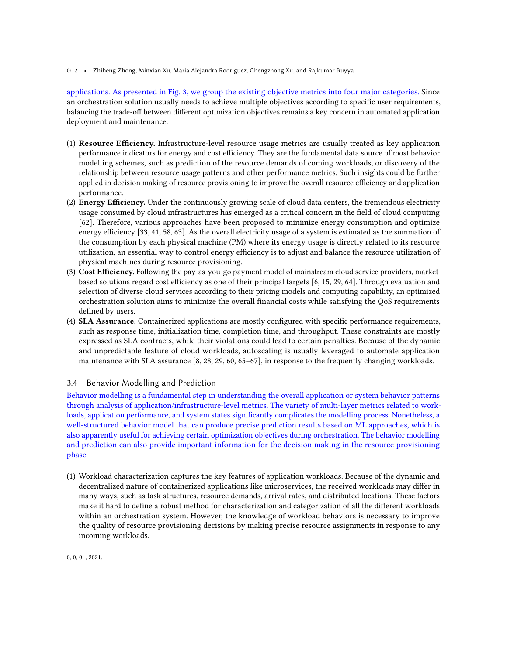### 0:12 • Zhiheng Zhong, Minxian Xu, Maria Alejandra Rodriguez, Chengzhong Xu, and Rajkumar Buyya

applications. As presented in Fig. [3,](#page-8-1) we group the existing objective metrics into four major categories. Since an orchestration solution usually needs to achieve multiple objectives according to specific user requirements, balancing the trade-off between different optimization objectives remains a key concern in automated application deployment and maintenance.

- (1) Resource Efficiency. Infrastructure-level resource usage metrics are usually treated as key application performance indicators for energy and cost efficiency. They are the fundamental data source of most behavior modelling schemes, such as prediction of the resource demands of coming workloads, or discovery of the relationship between resource usage patterns and other performance metrics. Such insights could be further applied in decision making of resource provisioning to improve the overall resource efficiency and application performance.
- (2) Energy Efficiency. Under the continuously growing scale of cloud data centers, the tremendous electricity usage consumed by cloud infrastructures has emerged as a critical concern in the field of cloud computing [\[62\]](#page-33-10). Therefore, various approaches have been proposed to minimize energy consumption and optimize energy efficiency [\[33,](#page-32-6) [41,](#page-32-14) [58,](#page-33-7) [63\]](#page-33-11). As the overall electricity usage of a system is estimated as the summation of the consumption by each physical machine (PM) where its energy usage is directly related to its resource utilization, an essential way to control energy efficiency is to adjust and balance the resource utilization of physical machines during resource provisioning.
- (3) Cost Efficiency. Following the pay-as-you-go payment model of mainstream cloud service providers, marketbased solutions regard cost efficiency as one of their principal targets [\[6,](#page-31-5) [15,](#page-31-13) [29,](#page-32-24) [64\]](#page-33-12). Through evaluation and selection of diverse cloud services according to their pricing models and computing capability, an optimized orchestration solution aims to minimize the overall financial costs while satisfying the QoS requirements defined by users.
- (4) SLA Assurance. Containerized applications are mostly configured with specific performance requirements, such as response time, initialization time, completion time, and throughput. These constraints are mostly expressed as SLA contracts, while their violations could lead to certain penalties. Because of the dynamic and unpredictable feature of cloud workloads, autoscaling is usually leveraged to automate application maintenance with SLA assurance [\[8,](#page-31-7) [28,](#page-32-3) [29,](#page-32-24) [60,](#page-33-8) [65](#page-33-13)[–67\]](#page-33-14), in response to the frequently changing workloads.

# 3.4 Behavior Modelling and Prediction

Behavior modelling is a fundamental step in understanding the overall application or system behavior patterns through analysis of application/infrastructure-level metrics. The variety of multi-layer metrics related to workloads, application performance, and system states significantly complicates the modelling process. Nonetheless, a well-structured behavior model that can produce precise prediction results based on ML approaches, which is also apparently useful for achieving certain optimization objectives during orchestration. The behavior modelling and prediction can also provide important information for the decision making in the resource provisioning phase.

(1) Workload characterization captures the key features of application workloads. Because of the dynamic and decentralized nature of containerized applications like microservices, the received workloads may differ in many ways, such as task structures, resource demands, arrival rates, and distributed locations. These factors make it hard to define a robust method for characterization and categorization of all the different workloads within an orchestration system. However, the knowledge of workload behaviors is necessary to improve the quality of resource provisioning decisions by making precise resource assignments in response to any incoming workloads.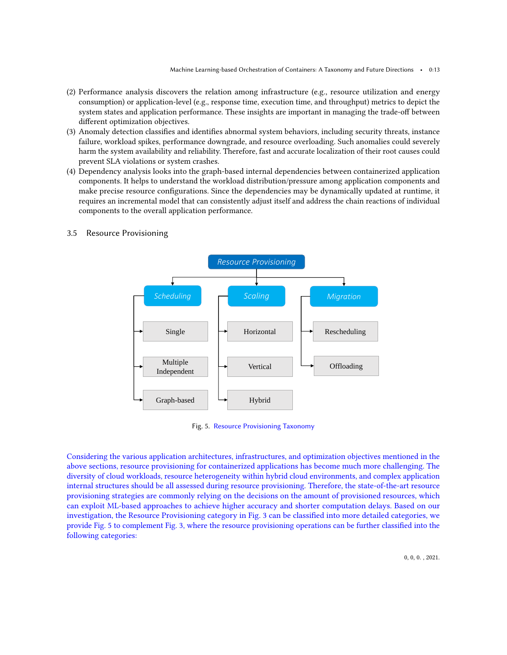- (2) Performance analysis discovers the relation among infrastructure (e.g., resource utilization and energy consumption) or application-level (e.g., response time, execution time, and throughput) metrics to depict the system states and application performance. These insights are important in managing the trade-off between different optimization objectives.
- (3) Anomaly detection classifies and identifies abnormal system behaviors, including security threats, instance failure, workload spikes, performance downgrade, and resource overloading. Such anomalies could severely harm the system availability and reliability. Therefore, fast and accurate localization of their root causes could prevent SLA violations or system crashes.
- (4) Dependency analysis looks into the graph-based internal dependencies between containerized application components. It helps to understand the workload distribution/pressure among application components and make precise resource configurations. Since the dependencies may be dynamically updated at runtime, it requires an incremental model that can consistently adjust itself and address the chain reactions of individual components to the overall application performance.



# <span id="page-12-0"></span>3.5 Resource Provisioning

Fig. 5. Resource Provisioning Taxonomy

Considering the various application architectures, infrastructures, and optimization objectives mentioned in the above sections, resource provisioning for containerized applications has become much more challenging. The diversity of cloud workloads, resource heterogeneity within hybrid cloud environments, and complex application internal structures should be all assessed during resource provisioning. Therefore, the state-of-the-art resource provisioning strategies are commonly relying on the decisions on the amount of provisioned resources, which can exploit ML-based approaches to achieve higher accuracy and shorter computation delays. Based on our investigation, the Resource Provisioning category in Fig. [3](#page-8-1) can be classified into more detailed categories, we provide Fig. [5](#page-12-0) to complement Fig. [3,](#page-8-1) where the resource provisioning operations can be further classified into the following categories: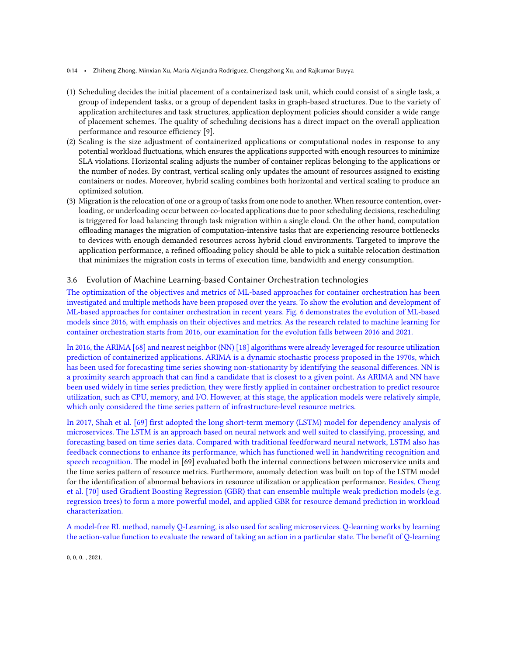- 0:14 Zhiheng Zhong, Minxian Xu, Maria Alejandra Rodriguez, Chengzhong Xu, and Rajkumar Buyya
- (1) Scheduling decides the initial placement of a containerized task unit, which could consist of a single task, a group of independent tasks, or a group of dependent tasks in graph-based structures. Due to the variety of application architectures and task structures, application deployment policies should consider a wide range of placement schemes. The quality of scheduling decisions has a direct impact on the overall application performance and resource efficiency [\[9\]](#page-31-8).
- (2) Scaling is the size adjustment of containerized applications or computational nodes in response to any potential workload fluctuations, which ensures the applications supported with enough resources to minimize SLA violations. Horizontal scaling adjusts the number of container replicas belonging to the applications or the number of nodes. By contrast, vertical scaling only updates the amount of resources assigned to existing containers or nodes. Moreover, hybrid scaling combines both horizontal and vertical scaling to produce an optimized solution.
- (3) Migration is the relocation of one or a group of tasks from one node to another. When resource contention, overloading, or underloading occur between co-located applications due to poor scheduling decisions, rescheduling is triggered for load balancing through task migration within a single cloud. On the other hand, computation offloading manages the migration of computation-intensive tasks that are experiencing resource bottlenecks to devices with enough demanded resources across hybrid cloud environments. Targeted to improve the application performance, a refined offloading policy should be able to pick a suitable relocation destination that minimizes the migration costs in terms of execution time, bandwidth and energy consumption.

# 3.6 Evolution of Machine Learning-based Container Orchestration technologies

The optimization of the objectives and metrics of ML-based approaches for container orchestration has been investigated and multiple methods have been proposed over the years. To show the evolution and development of ML-based approaches for container orchestration in recent years. Fig. [6](#page-14-0) demonstrates the evolution of ML-based models since 2016, with emphasis on their objectives and metrics. As the research related to machine learning for container orchestration starts from 2016, our examination for the evolution falls between 2016 and 2021.

In 2016, the ARIMA [\[68\]](#page-33-15) and nearest neighbor (NN) [\[18\]](#page-31-15) algorithms were already leveraged for resource utilization prediction of containerized applications. ARIMA is a dynamic stochastic process proposed in the 1970s, which has been used for forecasting time series showing non-stationarity by identifying the seasonal differences. NN is a proximity search approach that can find a candidate that is closest to a given point. As ARIMA and NN have been used widely in time series prediction, they were firstly applied in container orchestration to predict resource utilization, such as CPU, memory, and I/O. However, at this stage, the application models were relatively simple, which only considered the time series pattern of infrastructure-level resource metrics.

In 2017, Shah et al. [\[69\]](#page-33-16) first adopted the long short-term memory (LSTM) model for dependency analysis of microservices. The LSTM is an approach based on neural network and well suited to classifying, processing, and forecasting based on time series data. Compared with traditional feedforward neural network, LSTM also has feedback connections to enhance its performance, which has functioned well in handwriting recognition and speech recognition. The model in [\[69\]](#page-33-16) evaluated both the internal connections between microservice units and the time series pattern of resource metrics. Furthermore, anomaly detection was built on top of the LSTM model for the identification of abnormal behaviors in resource utilization or application performance. Besides, Cheng et al. [\[70\]](#page-33-17) used Gradient Boosting Regression (GBR) that can ensemble multiple weak prediction models (e.g. regression trees) to form a more powerful model, and applied GBR for resource demand prediction in workload characterization.

A model-free RL method, namely Q-Learning, is also used for scaling microservices. Q-learning works by learning the action-value function to evaluate the reward of taking an action in a particular state. The benefit of Q-learning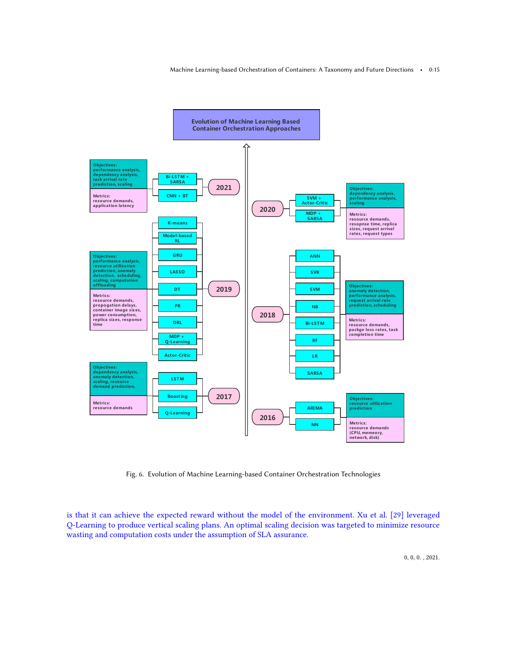<span id="page-14-0"></span>

Fig. 6. Evolution of Machine Learning-based Container Orchestration Technologies

is that it can achieve the expected reward without the model of the environment. Xu et al. [\[29\]](#page-32-24) leveraged Q-Learning to produce vertical scaling plans. An optimal scaling decision was targeted to minimize resource wasting and computation costs under the assumption of SLA assurance.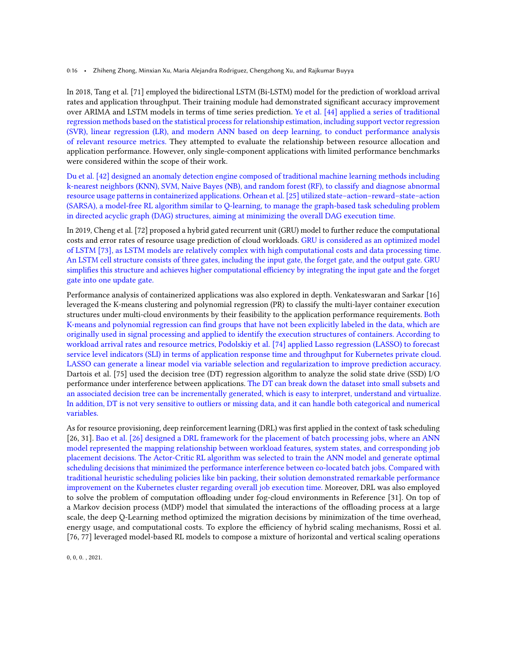0:16 • Zhiheng Zhong, Minxian Xu, Maria Alejandra Rodriguez, Chengzhong Xu, and Rajkumar Buyya

In 2018, Tang et al. [\[71\]](#page-33-18) employed the bidirectional LSTM (Bi-LSTM) model for the prediction of workload arrival rates and application throughput. Their training module had demonstrated significant accuracy improvement over ARIMA and LSTM models in terms of time series prediction. Ye et al. [\[44\]](#page-32-17) applied a series of traditional regression methods based on the statistical process for relationship estimation, including support vector regression (SVR), linear regression (LR), and modern ANN based on deep learning, to conduct performance analysis of relevant resource metrics. They attempted to evaluate the relationship between resource allocation and application performance. However, only single-component applications with limited performance benchmarks were considered within the scope of their work.

Du et al. [\[42\]](#page-32-15) designed an anomaly detection engine composed of traditional machine learning methods including k-nearest neighbors (KNN), SVM, Naive Bayes (NB), and random forest (RF), to classify and diagnose abnormal resource usage patterns in containerized applications. Orhean et al. [\[25\]](#page-32-0) utilized state–action–reward–state–action (SARSA), a model-free RL algorithm similar to Q-learning, to manage the graph-based task scheduling problem in directed acyclic graph (DAG) structures, aiming at minimizing the overall DAG execution time.

In 2019, Cheng et al. [\[72\]](#page-33-19) proposed a hybrid gated recurrent unit (GRU) model to further reduce the computational costs and error rates of resource usage prediction of cloud workloads. GRU is considered as an optimized model of LSTM [\[73\]](#page-34-1), as LSTM models are relatively complex with high computational costs and data processing time. An LSTM cell structure consists of three gates, including the input gate, the forget gate, and the output gate. GRU simplifies this structure and achieves higher computational efficiency by integrating the input gate and the forget gate into one update gate.

Performance analysis of containerized applications was also explored in depth. Venkateswaran and Sarkar [\[16\]](#page-31-14) leveraged the K-means clustering and polynomial regression (PR) to classify the multi-layer container execution structures under multi-cloud environments by their feasibility to the application performance requirements. Both K-means and polynomial regression can find groups that have not been explicitly labeled in the data, which are originally used in signal processing and applied to identify the execution structures of containers. According to workload arrival rates and resource metrics, Podolskiy et al. [\[74\]](#page-34-2) applied Lasso regression (LASSO) to forecast service level indicators (SLI) in terms of application response time and throughput for Kubernetes private cloud. LASSO can generate a linear model via variable selection and regularization to improve prediction accuracy. Dartois et al. [\[75\]](#page-34-3) used the decision tree (DT) regression algorithm to analyze the solid state drive (SSD) I/O performance under interference between applications. The DT can break down the dataset into small subsets and an associated decision tree can be incrementally generated, which is easy to interpret, understand and virtualize. In addition, DT is not very sensitive to outliers or missing data, and it can handle both categorical and numerical variables.

As for resource provisioning, deep reinforcement learning (DRL) was first applied in the context of task scheduling [\[26,](#page-32-1) [31\]](#page-32-4). Bao et al. [\[26\]](#page-32-1) designed a DRL framework for the placement of batch processing jobs, where an ANN model represented the mapping relationship between workload features, system states, and corresponding job placement decisions. The Actor-Critic RL algorithm was selected to train the ANN model and generate optimal scheduling decisions that minimized the performance interference between co-located batch jobs. Compared with traditional heuristic scheduling policies like bin packing, their solution demonstrated remarkable performance improvement on the Kubernetes cluster regarding overall job execution time. Moreover, DRL was also employed to solve the problem of computation offloading under fog-cloud environments in Reference [\[31\]](#page-32-4). On top of a Markov decision process (MDP) model that simulated the interactions of the offloading process at a large scale, the deep Q-Learning method optimized the migration decisions by minimization of the time overhead, energy usage, and computational costs. To explore the efficiency of hybrid scaling mechanisms, Rossi et al. [\[76,](#page-34-4) [77\]](#page-34-5) leveraged model-based RL models to compose a mixture of horizontal and vertical scaling operations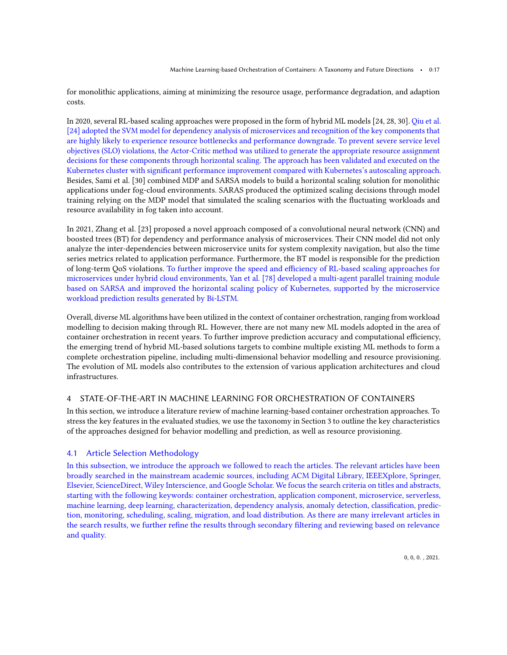for monolithic applications, aiming at minimizing the resource usage, performance degradation, and adaption costs.

In 2020, several RL-based scaling approaches were proposed in the form of hybrid ML models [\[24,](#page-31-19) [28,](#page-32-3) [30\]](#page-32-25). Qiu et al. [\[24\]](#page-31-19) adopted the SVM model for dependency analysis of microservices and recognition of the key components that are highly likely to experience resource bottlenecks and performance downgrade. To prevent severe service level objectives (SLO) violations, the Actor-Critic method was utilized to generate the appropriate resource assignment decisions for these components through horizontal scaling. The approach has been validated and executed on the Kubernetes cluster with significant performance improvement compared with Kubernetes's autoscaling approach. Besides, Sami et al. [\[30\]](#page-32-25) combined MDP and SARSA models to build a horizontal scaling solution for monolithic applications under fog-cloud environments. SARAS produced the optimized scaling decisions through model training relying on the MDP model that simulated the scaling scenarios with the fluctuating workloads and resource availability in fog taken into account.

In 2021, Zhang et al. [\[23\]](#page-31-18) proposed a novel approach composed of a convolutional neural network (CNN) and boosted trees (BT) for dependency and performance analysis of microservices. Their CNN model did not only analyze the inter-dependencies between microservice units for system complexity navigation, but also the time series metrics related to application performance. Furthermore, the BT model is responsible for the prediction of long-term QoS violations. To further improve the speed and efficiency of RL-based scaling approaches for microservices under hybrid cloud environments, Yan et al. [\[78\]](#page-34-6) developed a multi-agent parallel training module based on SARSA and improved the horizontal scaling policy of Kubernetes, supported by the microservice workload prediction results generated by Bi-LSTM.

Overall, diverse ML algorithms have been utilized in the context of container orchestration, ranging from workload modelling to decision making through RL. However, there are not many new ML models adopted in the area of container orchestration in recent years. To further improve prediction accuracy and computational efficiency, the emerging trend of hybrid ML-based solutions targets to combine multiple existing ML methods to form a complete orchestration pipeline, including multi-dimensional behavior modelling and resource provisioning. The evolution of ML models also contributes to the extension of various application architectures and cloud infrastructures.

# <span id="page-16-0"></span>4 STATE-OF-THE-ART IN MACHINE LEARNING FOR ORCHESTRATION OF CONTAINERS

In this section, we introduce a literature review of machine learning-based container orchestration approaches. To stress the key features in the evaluated studies, we use the taxonomy in Section [3](#page-8-0) to outline the key characteristics of the approaches designed for behavior modelling and prediction, as well as resource provisioning.

# 4.1 Article Selection Methodology

In this subsection, we introduce the approach we followed to reach the articles. The relevant articles have been broadly searched in the mainstream academic sources, including ACM Digital Library, IEEEXplore, Springer, Elsevier, ScienceDirect, Wiley Interscience, and Google Scholar. We focus the search criteria on titles and abstracts, starting with the following keywords: container orchestration, application component, microservice, serverless, machine learning, deep learning, characterization, dependency analysis, anomaly detection, classification, prediction, monitoring, scheduling, scaling, migration, and load distribution. As there are many irrelevant articles in the search results, we further refine the results through secondary filtering and reviewing based on relevance and quality.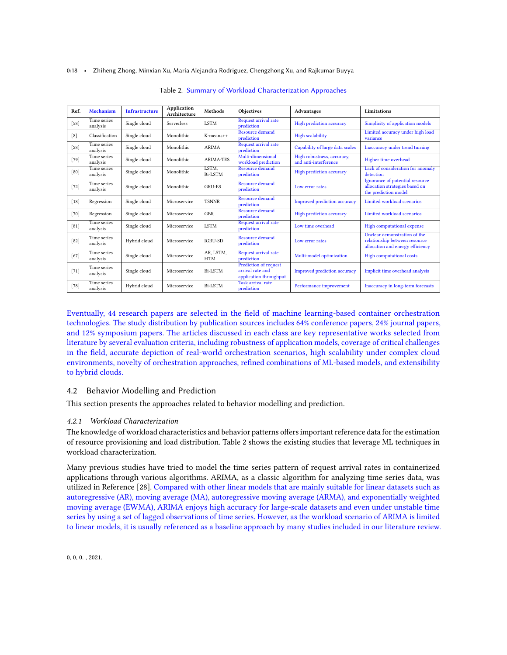#### <span id="page-17-0"></span>0:18 • Zhiheng Zhong, Minxian Xu, Maria Alejandra Rodriguez, Chengzhong Xu, and Rajkumar Buyya

| Ref.   | Mechanism               | <b>Infrastructure</b> | <b>Application</b><br>Architecture | Methods                 | Objectives                                                          | Advantages                                          | Limitations                                                                                       |
|--------|-------------------------|-----------------------|------------------------------------|-------------------------|---------------------------------------------------------------------|-----------------------------------------------------|---------------------------------------------------------------------------------------------------|
| $[58]$ | Time series<br>analysis | Single cloud          | Serverless                         | <b>LSTM</b>             | <b>Request arrival rate</b><br>prediction                           | High prediction accuracy                            | Simplicity of application models                                                                  |
| [8]    | Classification          | Single cloud          | Monolithic                         | $K$ -means++            | Resource demand<br>prediction                                       | <b>High scalability</b>                             | Limited accuracy under high load<br>variance                                                      |
| $[28]$ | Time series<br>analysis | Single cloud          | Monolithic                         | <b>ARIMA</b>            | <b>Request arrival rate</b><br>prediction                           | Capability of large data scales                     | Inaccuracy under trend turning                                                                    |
| $[79]$ | Time series<br>analysis | Single cloud          | Monolithic                         | <b>ARIMA-TES</b>        | Multi-dimensional<br>workload prediction                            | High robustness, accuracy,<br>and anti-interference | Higher time overhead                                                                              |
| [80]   | Time series<br>analysis | Single cloud          | Monolithic                         | LSTM,<br><b>Bi-LSTM</b> | Resource demand<br>prediction                                       | High prediction accuracy                            | Lack of consideration for anomaly<br>detection                                                    |
| $[72]$ | Time series<br>analysis | Single cloud          | Monolithic                         | <b>GRU-ES</b>           | <b>Resource demand</b><br>prediction                                | Low error rates                                     | Ignorance of potential resource<br>allocation strategies based on<br>the prediction model         |
| $[18]$ | Regression              | Single cloud          | Microservice                       | <b>TSNNR</b>            | <b>Resource demand</b><br>prediction                                | Improved prediction accuracy                        | Limited workload scenarios                                                                        |
| $[70]$ | Regression              | Single cloud          | Microservice                       | <b>GBR</b>              | <b>Resource demand</b><br>prediction                                | High prediction accuracy                            | Limited workload scenarios                                                                        |
| $[81]$ | Time series<br>analysis | Single cloud          | Microservice                       | <b>LSTM</b>             | Request arrival rate<br>prediction                                  | Low time overhead                                   | High computational expense                                                                        |
| $[82]$ | Time series<br>analysis | Hybrid cloud          | Microservice                       | <b>IGRU-SD</b>          | <b>Resource demand</b><br>prediction                                | Low error rates                                     | Unclear demonstration of the<br>relationship between resource<br>allocation and energy efficiency |
| $[67]$ | Time series<br>analysis | Single cloud          | Microservice                       | AR, LSTM,<br><b>HTM</b> | Request arrival rate<br>prediction                                  | Multi-model optimization                            | High computational costs                                                                          |
| $[71]$ | Time series<br>analysis | Single cloud          | Microservice                       | <b>Bi-LSTM</b>          | Prediction of request<br>arrival rate and<br>application throughput | Improved prediction accuracy                        | Implicit time overhead analysis                                                                   |
| $[78]$ | Time series<br>analysis | Hybrid cloud          | Microservice                       | Bi-LSTM                 | <b>Task arrival rate</b><br>prediction                              | Performance improvement                             | Inaccuracy in long-term forecasts                                                                 |

Table 2. Summary of Workload Characterization Approaches

Eventually, 44 research papers are selected in the field of machine learning-based container orchestration technologies. The study distribution by publication sources includes 64% conference papers, 24% journal papers, and 12% symposium papers. The articles discussed in each class are key representative works selected from literature by several evaluation criteria, including robustness of application models, coverage of critical challenges in the field, accurate depiction of real-world orchestration scenarios, high scalability under complex cloud environments, novelty of orchestration approaches, refined combinations of ML-based models, and extensibility to hybrid clouds.

# 4.2 Behavior Modelling and Prediction

This section presents the approaches related to behavior modelling and prediction.

# <span id="page-17-1"></span>4.2.1 Workload Characterization

The knowledge of workload characteristics and behavior patterns offers important reference data for the estimation of resource provisioning and load distribution. Table [2](#page-17-0) shows the existing studies that leverage ML techniques in workload characterization.

Many previous studies have tried to model the time series pattern of request arrival rates in containerized applications through various algorithms. ARIMA, as a classic algorithm for analyzing time series data, was utilized in Reference [\[28\]](#page-32-3). Compared with other linear models that are mainly suitable for linear datasets such as autoregressive (AR), moving average (MA), autoregressive moving average (ARMA), and exponentially weighted moving average (EWMA), ARIMA enjoys high accuracy for large-scale datasets and even under unstable time series by using a set of lagged observations of time series. However, as the workload scenario of ARIMA is limited to linear models, it is usually referenced as a baseline approach by many studies included in our literature review.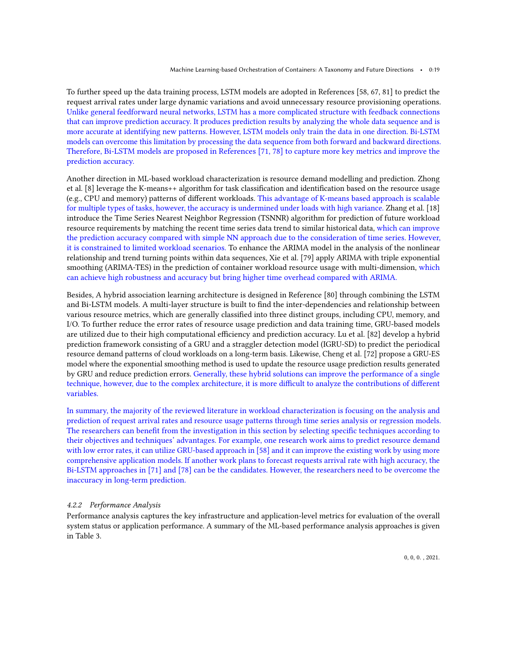To further speed up the data training process, LSTM models are adopted in References [\[58,](#page-33-7) [67,](#page-33-14) [81\]](#page-34-9) to predict the request arrival rates under large dynamic variations and avoid unnecessary resource provisioning operations. Unlike general feedforward neural networks, LSTM has a more complicated structure with feedback connections that can improve prediction accuracy. It produces prediction results by analyzing the whole data sequence and is more accurate at identifying new patterns. However, LSTM models only train the data in one direction. Bi-LSTM models can overcome this limitation by processing the data sequence from both forward and backward directions. Therefore, Bi-LSTM models are proposed in References [\[71,](#page-33-18) [78\]](#page-34-6) to capture more key metrics and improve the prediction accuracy.

Another direction in ML-based workload characterization is resource demand modelling and prediction. Zhong et al. [\[8\]](#page-31-7) leverage the K-means++ algorithm for task classification and identification based on the resource usage (e.g., CPU and memory) patterns of different workloads. This advantage of K-means based approach is scalable for multiple types of tasks, however, the accuracy is undermined under loads with high variance. Zhang et al. [\[18\]](#page-31-15) introduce the Time Series Nearest Neighbor Regression (TSNNR) algorithm for prediction of future workload resource requirements by matching the recent time series data trend to similar historical data, which can improve the prediction accuracy compared with simple NN approach due to the consideration of time series. However, it is constrained to limited workload scenarios. To enhance the ARIMA model in the analysis of the nonlinear relationship and trend turning points within data sequences, Xie et al. [\[79\]](#page-34-7) apply ARIMA with triple exponential smoothing (ARIMA-TES) in the prediction of container workload resource usage with multi-dimension, which can achieve high robustness and accuracy but bring higher time overhead compared with ARIMA.

Besides, A hybrid association learning architecture is designed in Reference [\[80\]](#page-34-8) through combining the LSTM and Bi-LSTM models. A multi-layer structure is built to find the inter-dependencies and relationship between various resource metrics, which are generally classified into three distinct groups, including CPU, memory, and I/O. To further reduce the error rates of resource usage prediction and data training time, GRU-based models are utilized due to their high computational efficiency and prediction accuracy. Lu et al. [\[82\]](#page-34-10) develop a hybrid prediction framework consisting of a GRU and a straggler detection model (IGRU-SD) to predict the periodical resource demand patterns of cloud workloads on a long-term basis. Likewise, Cheng et al. [\[72\]](#page-33-19) propose a GRU-ES model where the exponential smoothing method is used to update the resource usage prediction results generated by GRU and reduce prediction errors. Generally, these hybrid solutions can improve the performance of a single technique, however, due to the complex architecture, it is more difficult to analyze the contributions of different variables.

In summary, the majority of the reviewed literature in workload characterization is focusing on the analysis and prediction of request arrival rates and resource usage patterns through time series analysis or regression models. The researchers can benefit from the investigation in this section by selecting specific techniques according to their objectives and techniques' advantages. For example, one research work aims to predict resource demand with low error rates, it can utilize GRU-based approach in [\[58\]](#page-33-7) and it can improve the existing work by using more comprehensive application models. If another work plans to forecast requests arrival rate with high accuracy, the Bi-LSTM approaches in [\[71\]](#page-33-18) and [\[78\]](#page-34-6) can be the candidates. However, the researchers need to be overcome the inaccuracy in long-term prediction.

### <span id="page-18-0"></span>4.2.2 Performance Analysis

Performance analysis captures the key infrastructure and application-level metrics for evaluation of the overall system status or application performance. A summary of the ML-based performance analysis approaches is given in Table [3.](#page-19-0)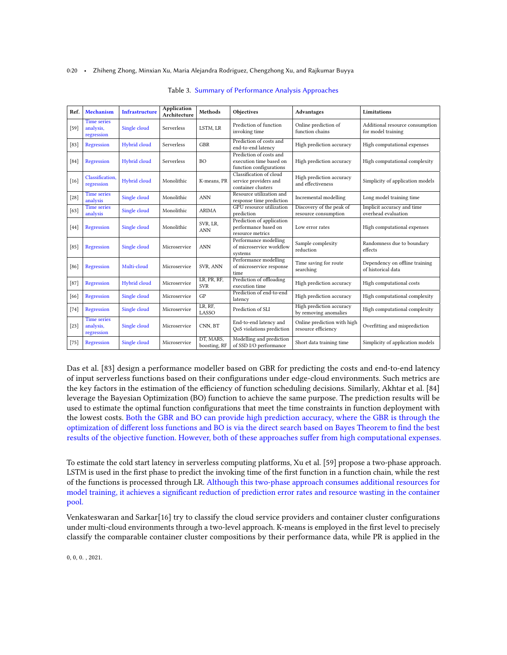#### <span id="page-19-0"></span>0:20 • Zhiheng Zhong, Minxian Xu, Maria Alejandra Rodriguez, Chengzhong Xu, and Rajkumar Buyya

|        |                                               |                       | <b>Application</b> |                           |                                                                               |                                                    |                                                       |
|--------|-----------------------------------------------|-----------------------|--------------------|---------------------------|-------------------------------------------------------------------------------|----------------------------------------------------|-------------------------------------------------------|
| Ref.   | Mechanism                                     | <b>Infrastructure</b> | Architecture       | Methods                   | Objectives                                                                    | <b>Advantages</b>                                  | Limitations                                           |
| $[59]$ | <b>Time series</b><br>analysis,<br>regression | Single cloud          | Serverless         | LSTM, LR                  | Prediction of function<br>invoking time                                       | Online prediction of<br>function chains            | Additional resource consumption<br>for model training |
| $[83]$ | Regression                                    | Hybrid cloud          | Serverless         | <b>GBR</b>                | Prediction of costs and<br>end-to-end latency                                 | High prediction accuracy                           | High computational expenses                           |
| [84]   | Regression                                    | Hybrid cloud          | <b>Serverless</b>  | B <sub>O</sub>            | Prediction of costs and<br>execution time based on<br>function configurations | High prediction accuracy                           | High computational complexity                         |
| $[16]$ | Classification.<br>regression                 | Hybrid cloud          | Monolithic         | K-means, PR               | Classification of cloud<br>service providers and<br>container clusters        | High prediction accuracy<br>and effectiveness      | Simplicity of application models                      |
| $[28]$ | <b>Time series</b><br>analysis                | Single cloud          | Monolithic         | <b>ANN</b>                | Resource utilization and<br>response time prediction                          | Incremental modelling                              | Long model training time                              |
| [63]   | <b>Time series</b><br>analysis                | Single cloud          | Monolithic         | <b>ARIMA</b>              | GPU resource utilization<br>prediction                                        | Discovery of the peak of<br>resource consumption   | Implicit accuracy and time<br>overhead evaluation     |
| [44]   | Regression                                    | Single cloud          | Monolithic         | SVR. LR.<br><b>ANN</b>    | Prediction of application<br>performance based on<br>resource metrics         | Low error rates                                    | High computational expenses                           |
| [85]   | Regression                                    | Single cloud          | Microservice       | <b>ANN</b>                | Performance modelling<br>of microservice workflow<br>systems                  | Sample complexity<br>reduction                     | Randomness due to boundary<br>effects                 |
| [86]   | Regression                                    | Multi-cloud           | Microservice       | SVR. ANN                  | Performance modelling<br>of microservice response<br>time                     | Time saving for route<br>searching                 | Dependency on offline training<br>of historical data  |
| $[87]$ | Regression                                    | Hybrid cloud          | Microservice       | LR, PR, RF,<br><b>SVR</b> | Prediction of offloading<br>execution time                                    | High prediction accuracy                           | High computational costs                              |
| [66]   | Regression                                    | Single cloud          | Microservice       | GP                        | Prediction of end-to-end<br>latency                                           | High prediction accuracy                           | High computational complexity                         |
| $[74]$ | Regression                                    | Single cloud          | Microservice       | LR. RF.<br>LASSO          | Prediction of SLI                                                             | High prediction accuracy<br>by removing anomalies  | High computational complexity                         |
| $[23]$ | <b>Time series</b><br>analysis,<br>regression | Single cloud          | Microservice       | CNN, BT                   | End-to-end latency and<br>QoS violations prediction                           | Online prediction with high<br>resource efficiency | Overfitting and misprediction                         |
| $[75]$ | Regression                                    | Single cloud          | Microservice       | DT, MARS,<br>boosting, RF | Modelling and prediction<br>of SSD I/O performance                            | Short data training time                           | Simplicity of application models                      |

#### Table 3. Summary of Performance Analysis Approaches

Das et al. [\[83\]](#page-34-11) design a performance modeller based on GBR for predicting the costs and end-to-end latency of input serverless functions based on their configurations under edge-cloud environments. Such metrics are the key factors in the estimation of the efficiency of function scheduling decisions. Similarly, Akhtar et al. [\[84\]](#page-34-12) leverage the Bayesian Optimization (BO) function to achieve the same purpose. The prediction results will be used to estimate the optimal function configurations that meet the time constraints in function deployment with the lowest costs. Both the GBR and BO can provide high prediction accuracy, where the GBR is through the optimization of different loss functions and BO is via the direct search based on Bayes Theorem to find the best results of the objective function. However, both of these approaches suffer from high computational expenses.

To estimate the cold start latency in serverless computing platforms, Xu et al. [\[59\]](#page-33-20) propose a two-phase approach. LSTM is used in the first phase to predict the invoking time of the first function in a function chain, while the rest of the functions is processed through LR. Although this two-phase approach consumes additional resources for model training, it achieves a significant reduction of prediction error rates and resource wasting in the container pool.

Venkateswaran and Sarkar[\[16\]](#page-31-14) try to classify the cloud service providers and container cluster configurations under multi-cloud environments through a two-level approach. K-means is employed in the first level to precisely classify the comparable container cluster compositions by their performance data, while PR is applied in the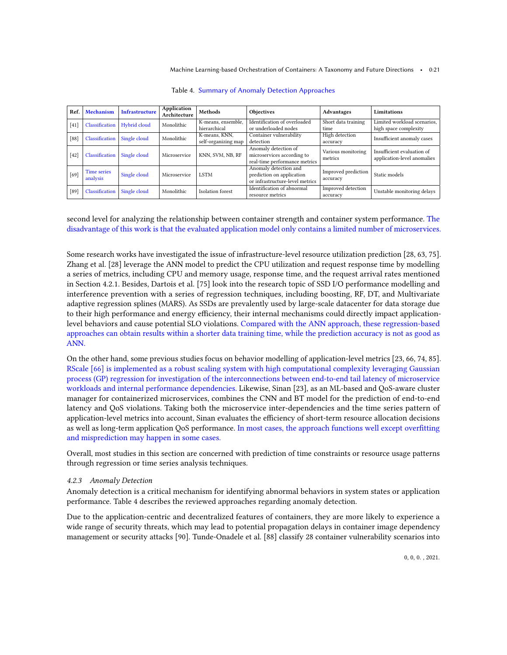<span id="page-20-0"></span>

| Ref.   | <b>Mechanism</b>         | <b>Infrastructure</b>        | Application<br>Architecture | Methods             | Objectives                      | <b>Advantages</b>   | Limitations                 |
|--------|--------------------------|------------------------------|-----------------------------|---------------------|---------------------------------|---------------------|-----------------------------|
| $[41]$ | Classification           | Hybrid cloud                 | Monolithic                  | K-means, ensemble,  | Identification of overloaded    | Short data training | Limited workload scenarios, |
|        |                          |                              |                             | hierarchical        | or underloaded nodes            | time                | high space complexity       |
| [88]   | Classification           | Single cloud                 | Monolithic                  | K-means, KNN,       | Container vulnerability         | High detection      | Insufficient anomaly cases  |
|        |                          |                              |                             | self-organizing map | detection                       | accuracy            |                             |
|        |                          |                              |                             |                     | Anomaly detection of            | Various monitoring  | Insufficient evaluation of  |
| $[42]$ | Classification           | Single cloud<br>Microservice |                             | KNN, SVM, NB, RF    | microservices according to      | metrics             | application-level anomalies |
|        |                          |                              |                             |                     | real-time performance metrics   |                     |                             |
|        | Time series              |                              |                             |                     | Anomaly detection and           | Improved prediction |                             |
| [69]   | Single cloud<br>analysis |                              | Microservice                | <b>LSTM</b>         | prediction on application       | accuracy            | Static models               |
|        |                          |                              |                             |                     | or infrastructure-level metrics |                     |                             |
| [89]   | Classification           |                              | Monolithic                  | Isolation forest    | Identification of abnormal      | Improved detection  | Unstable monitoring delays  |
|        | Single cloud             |                              |                             | resource metrics    | accuracy                        |                     |                             |

Table 4. Summary of Anomaly Detection Approaches

second level for analyzing the relationship between container strength and container system performance. The disadvantage of this work is that the evaluated application model only contains a limited number of microservices.

Some research works have investigated the issue of infrastructure-level resource utilization prediction [\[28,](#page-32-3) [63,](#page-33-11) [75\]](#page-34-3). Zhang et al. [\[28\]](#page-32-3) leverage the ANN model to predict the CPU utilization and request response time by modelling a series of metrics, including CPU and memory usage, response time, and the request arrival rates mentioned in Section [4.2.1.](#page-17-1) Besides, Dartois et al. [\[75\]](#page-34-3) look into the research topic of SSD I/O performance modelling and interference prevention with a series of regression techniques, including boosting, RF, DT, and Multivariate adaptive regression splines (MARS). As SSDs are prevalently used by large-scale datacenter for data storage due to their high performance and energy efficiency, their internal mechanisms could directly impact applicationlevel behaviors and cause potential SLO violations. Compared with the ANN approach, these regression-based approaches can obtain results within a shorter data training time, while the prediction accuracy is not as good as ANN.

On the other hand, some previous studies focus on behavior modelling of application-level metrics [\[23,](#page-31-18) [66,](#page-33-21) [74,](#page-34-2) [85\]](#page-34-13). RScale [\[66\]](#page-33-21) is implemented as a robust scaling system with high computational complexity leveraging Gaussian process (GP) regression for investigation of the interconnections between end-to-end tail latency of microservice workloads and internal performance dependencies. Likewise, Sinan [\[23\]](#page-31-18), as an ML-based and QoS-aware cluster manager for containerized microservices, combines the CNN and BT model for the prediction of end-to-end latency and QoS violations. Taking both the microservice inter-dependencies and the time series pattern of application-level metrics into account, Sinan evaluates the efficiency of short-term resource allocation decisions as well as long-term application QoS performance. In most cases, the approach functions well except overfitting and misprediction may happen in some cases.

Overall, most studies in this section are concerned with prediction of time constraints or resource usage patterns through regression or time series analysis techniques.

# <span id="page-20-1"></span>4.2.3 Anomaly Detection

Anomaly detection is a critical mechanism for identifying abnormal behaviors in system states or application performance. Table [4](#page-20-0) describes the reviewed approaches regarding anomaly detection.

Due to the application-centric and decentralized features of containers, they are more likely to experience a wide range of security threats, which may lead to potential propagation delays in container image dependency management or security attacks [\[90\]](#page-34-18). Tunde-Onadele et al. [\[88\]](#page-34-16) classify 28 container vulnerability scenarios into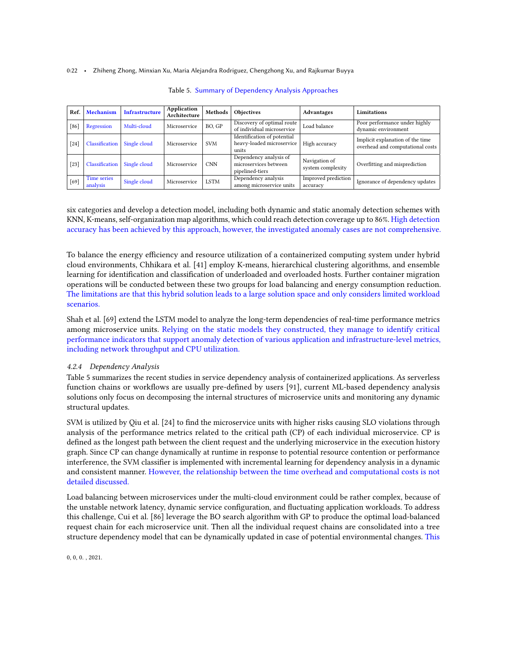<span id="page-21-0"></span>0:22 • Zhiheng Zhong, Minxian Xu, Maria Alejandra Rodriguez, Chengzhong Xu, and Rajkumar Buyya

| Ref. | Mechanism               | <b>Infrastructure</b> | Application<br>Architecture | Methods     | <b>Objectives</b>                                                  | Advantages                         | Limitations                                                          |
|------|-------------------------|-----------------------|-----------------------------|-------------|--------------------------------------------------------------------|------------------------------------|----------------------------------------------------------------------|
| 86   | Regression              | Multi-cloud           | Microservice                | BO, GP      | Discovery of optimal route<br>of individual microservice           | Load balance                       | Poor performance under highly<br>dynamic environment                 |
| [24] | Classification          | Single cloud          | Microservice                | <b>SVM</b>  | Identification of potential<br>heavy-loaded microservice<br>units  | High accuracy                      | Implicit explanation of the time<br>overhead and computational costs |
| [23] | Classification          | Single cloud          | Microservice                | <b>CNN</b>  | Dependency analysis of<br>microservices between<br>pipelined-tiers | Navigation of<br>system complexity | Overfitting and misprediction                                        |
| [69] | Time series<br>analysis | Single cloud          | Microservice                | <b>LSTM</b> | Dependency analysis<br>among microservice units                    | Improved prediction<br>accuracy    | Ignorance of dependency updates                                      |

Table 5. Summary of Dependency Analysis Approaches

six categories and develop a detection model, including both dynamic and static anomaly detection schemes with KNN, K-means, self-organization map algorithms, which could reach detection coverage up to 86%. High detection accuracy has been achieved by this approach, however, the investigated anomaly cases are not comprehensive.

To balance the energy efficiency and resource utilization of a containerized computing system under hybrid cloud environments, Chhikara et al. [\[41\]](#page-32-14) employ K-means, hierarchical clustering algorithms, and ensemble learning for identification and classification of underloaded and overloaded hosts. Further container migration operations will be conducted between these two groups for load balancing and energy consumption reduction. The limitations are that this hybrid solution leads to a large solution space and only considers limited workload scenarios.

Shah et al. [\[69\]](#page-33-16) extend the LSTM model to analyze the long-term dependencies of real-time performance metrics among microservice units. Relying on the static models they constructed, they manage to identify critical performance indicators that support anomaly detection of various application and infrastructure-level metrics, including network throughput and CPU utilization.

# <span id="page-21-1"></span>4.2.4 Dependency Analysis

Table [5](#page-21-0) summarizes the recent studies in service dependency analysis of containerized applications. As serverless function chains or workflows are usually pre-defined by users [\[91\]](#page-34-19), current ML-based dependency analysis solutions only focus on decomposing the internal structures of microservice units and monitoring any dynamic structural updates.

SVM is utilized by Qiu et al. [\[24\]](#page-31-19) to find the microservice units with higher risks causing SLO violations through analysis of the performance metrics related to the critical path (CP) of each individual microservice. CP is defined as the longest path between the client request and the underlying microservice in the execution history graph. Since CP can change dynamically at runtime in response to potential resource contention or performance interference, the SVM classifier is implemented with incremental learning for dependency analysis in a dynamic and consistent manner. However, the relationship between the time overhead and computational costs is not detailed discussed.

Load balancing between microservices under the multi-cloud environment could be rather complex, because of the unstable network latency, dynamic service configuration, and fluctuating application workloads. To address this challenge, Cui et al. [\[86\]](#page-34-14) leverage the BO search algorithm with GP to produce the optimal load-balanced request chain for each microservice unit. Then all the individual request chains are consolidated into a tree structure dependency model that can be dynamically updated in case of potential environmental changes. This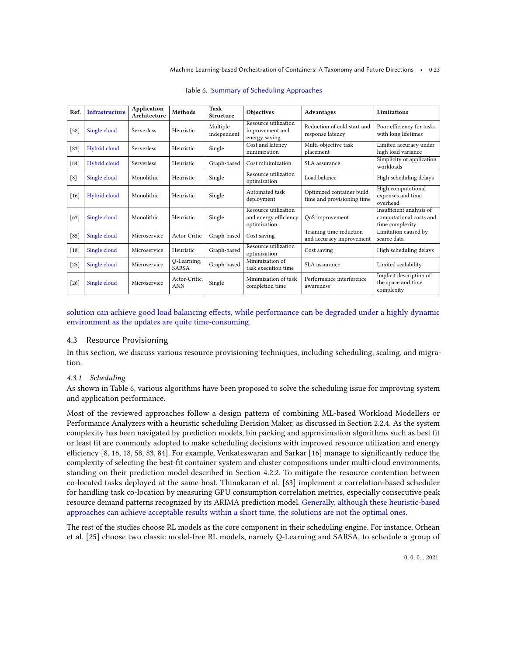<span id="page-22-0"></span>

| Ref.   | <b>Infrastructure</b> | Application<br>Architecture | Methods                     | Task<br><b>Structure</b> | Objectives                                                    | <b>Advantages</b>                                       | Limitations                                                            |
|--------|-----------------------|-----------------------------|-----------------------------|--------------------------|---------------------------------------------------------------|---------------------------------------------------------|------------------------------------------------------------------------|
| $[58]$ | Single cloud          | Serverless                  | Heuristic                   | Multiple<br>independent  | Resource utilization<br>improvement and<br>energy saving      | Reduction of cold start and<br>response latency         | Poor efficiency for tasks<br>with long lifetimes                       |
| $[83]$ | Hybrid cloud          | <b>Serverless</b>           | Heuristic                   | Single                   | Cost and latency<br>minimization                              | Multi-objective task<br>placement                       | Limited accuracy under<br>high load variance                           |
| [84]   | Hybrid cloud          | Serverless                  | Heuristic                   | Graph-based              | Cost minimization                                             | SLA assurance                                           | Simplicity of application<br>workloads                                 |
| [8]    | Single cloud          | Monolithic                  | Heuristic                   | Single                   | Resource utilization<br>optimization                          | Load balance                                            | High scheduling delays                                                 |
| $[16]$ | Hybrid cloud          | Monolithic                  | Heuristic                   | Single                   | Automated task<br>deployment                                  | Optimized container build<br>time and provisioning time | High computational<br>expenses and time<br>overhead                    |
| [63]   | Single cloud          | Monolithic                  | Heuristic                   | Single                   | Resource utilization<br>and energy efficiency<br>optimization | QoS improvement                                         | Insufficient analysis of<br>computational costs and<br>time complexity |
| $[85]$ | Single cloud          | Microservice                | Actor-Critic                | Graph-based              | Cost saving                                                   | Training time reduction<br>and accuracy improvement     | Limitation caused by<br>scarce data                                    |
| $[18]$ | Single cloud          | Microservice                | Heuristic                   | Graph-based              | Resource utilization<br>optimization                          | Cost saving                                             | High scheduling delays                                                 |
| $[25]$ | Single cloud          | Microservice                | Q-Learning,<br><b>SARSA</b> | Graph-based              | Minimization of<br>task execution time                        | SLA assurance                                           | Limited scalability                                                    |
| $[26]$ | Single cloud          | Microservice                | Actor-Critic.<br><b>ANN</b> | Single                   | Minimization of task<br>completion time                       | Performance interference<br>awareness                   | Implicit description of<br>the space and time<br>complexity            |

Table 6. Summary of Scheduling Approaches

solution can achieve good load balancing effects, while performance can be degraded under a highly dynamic environment as the updates are quite time-consuming.

### 4.3 Resource Provisioning

In this section, we discuss various resource provisioning techniques, including scheduling, scaling, and migration.

### <span id="page-22-1"></span>4.3.1 Scheduling

As shown in Table [6,](#page-22-0) various algorithms have been proposed to solve the scheduling issue for improving system and application performance.

Most of the reviewed approaches follow a design pattern of combining ML-based Workload Modellers or Performance Analyzers with a heuristic scheduling Decision Maker, as discussed in Section [2.2.4.](#page-7-0) As the system complexity has been navigated by prediction models, bin packing and approximation algorithms such as best fit or least fit are commonly adopted to make scheduling decisions with improved resource utilization and energy efficiency [\[8,](#page-31-7) [16,](#page-31-14) [18,](#page-31-15) [58,](#page-33-7) [83,](#page-34-11) [84\]](#page-34-12). For example, Venkateswaran and Sarkar [\[16\]](#page-31-14) manage to significantly reduce the complexity of selecting the best-fit container system and cluster compositions under multi-cloud environments, standing on their prediction model described in Section [4.2.2.](#page-18-0) To mitigate the resource contention between co-located tasks deployed at the same host, Thinakaran et al. [\[63\]](#page-33-11) implement a correlation-based scheduler for handling task co-location by measuring GPU consumption correlation metrics, especially consecutive peak resource demand patterns recognized by its ARIMA prediction model. Generally, although these heuristic-based approaches can achieve acceptable results within a short time, the solutions are not the optimal ones.

The rest of the studies choose RL models as the core component in their scheduling engine. For instance, Orhean et al. [\[25\]](#page-32-0) choose two classic model-free RL models, namely Q-Learning and SARSA, to schedule a group of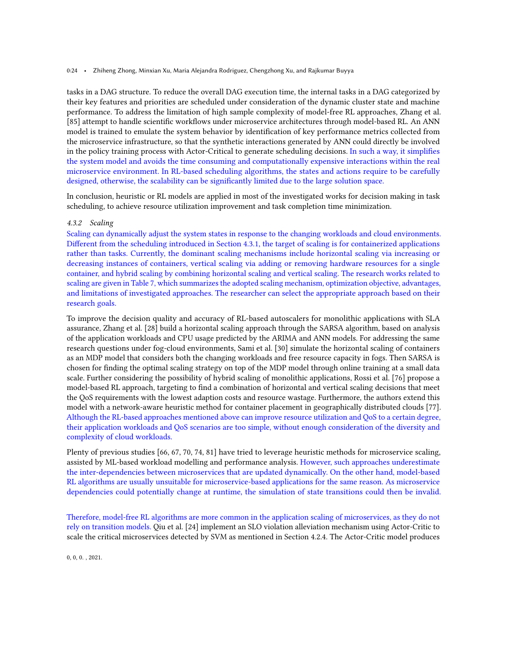#### 0:24 • Zhiheng Zhong, Minxian Xu, Maria Alejandra Rodriguez, Chengzhong Xu, and Rajkumar Buyya

tasks in a DAG structure. To reduce the overall DAG execution time, the internal tasks in a DAG categorized by their key features and priorities are scheduled under consideration of the dynamic cluster state and machine performance. To address the limitation of high sample complexity of model-free RL approaches, Zhang et al. [\[85\]](#page-34-13) attempt to handle scientific workflows under microservice architectures through model-based RL. An ANN model is trained to emulate the system behavior by identification of key performance metrics collected from the microservice infrastructure, so that the synthetic interactions generated by ANN could directly be involved in the policy training process with Actor-Critical to generate scheduling decisions. In such a way, it simplifies the system model and avoids the time consuming and computationally expensive interactions within the real microservice environment. In RL-based scheduling algorithms, the states and actions require to be carefully designed, otherwise, the scalability can be significantly limited due to the large solution space.

In conclusion, heuristic or RL models are applied in most of the investigated works for decision making in task scheduling, to achieve resource utilization improvement and task completion time minimization.

### 4.3.2 Scaling

Scaling can dynamically adjust the system states in response to the changing workloads and cloud environments. Different from the scheduling introduced in Section [4.3.1,](#page-22-1) the target of scaling is for containerized applications rather than tasks. Currently, the dominant scaling mechanisms include horizontal scaling via increasing or decreasing instances of containers, vertical scaling via adding or removing hardware resources for a single container, and hybrid scaling by combining horizontal scaling and vertical scaling. The research works related to scaling are given in Table [7,](#page-24-0) which summarizes the adopted scaling mechanism, optimization objective, advantages, and limitations of investigated approaches. The researcher can select the appropriate approach based on their research goals.

To improve the decision quality and accuracy of RL-based autoscalers for monolithic applications with SLA assurance, Zhang et al. [\[28\]](#page-32-3) build a horizontal scaling approach through the SARSA algorithm, based on analysis of the application workloads and CPU usage predicted by the ARIMA and ANN models. For addressing the same research questions under fog-cloud environments, Sami et al. [\[30\]](#page-32-25) simulate the horizontal scaling of containers as an MDP model that considers both the changing workloads and free resource capacity in fogs. Then SARSA is chosen for finding the optimal scaling strategy on top of the MDP model through online training at a small data scale. Further considering the possibility of hybrid scaling of monolithic applications, Rossi et al. [\[76\]](#page-34-4) propose a model-based RL approach, targeting to find a combination of horizontal and vertical scaling decisions that meet the QoS requirements with the lowest adaption costs and resource wastage. Furthermore, the authors extend this model with a network-aware heuristic method for container placement in geographically distributed clouds [\[77\]](#page-34-5). Although the RL-based approaches mentioned above can improve resource utilization and QoS to a certain degree, their application workloads and QoS scenarios are too simple, without enough consideration of the diversity and complexity of cloud workloads.

Plenty of previous studies [\[66,](#page-33-21) [67,](#page-33-14) [70,](#page-33-17) [74,](#page-34-2) [81\]](#page-34-9) have tried to leverage heuristic methods for microservice scaling, assisted by ML-based workload modelling and performance analysis. However, such approaches underestimate the inter-dependencies between microservices that are updated dynamically. On the other hand, model-based RL algorithms are usually unsuitable for microservice-based applications for the same reason. As microservice dependencies could potentially change at runtime, the simulation of state transitions could then be invalid.

Therefore, model-free RL algorithms are more common in the application scaling of microservices, as they do not rely on transition models. Qiu et al. [\[24\]](#page-31-19) implement an SLO violation alleviation mechanism using Actor-Critic to scale the critical microservices detected by SVM as mentioned in Section [4.2.4.](#page-21-1) The Actor-Critic model produces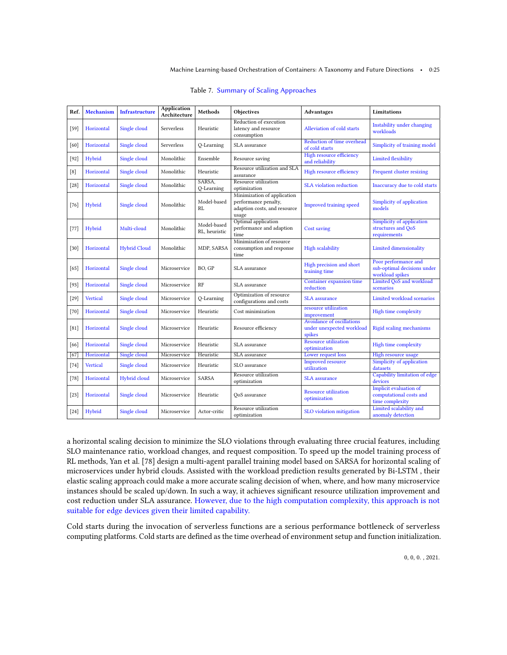<span id="page-24-0"></span>

| Ref.            | Mechanism       | <b>Infrastructure</b> | <b>Application</b><br>Architecture | Methods                      | Objectives                                                                                   | <b>Advantages</b>                                                | <b>Limitations</b>                                                          |
|-----------------|-----------------|-----------------------|------------------------------------|------------------------------|----------------------------------------------------------------------------------------------|------------------------------------------------------------------|-----------------------------------------------------------------------------|
| $[59]$          | Horizontal      | Single cloud          | Serverless                         | Heuristic                    | Reduction of execution<br>latency and resource<br>consumption                                | Alleviation of cold starts                                       | Instability under changing<br>workloads                                     |
| [60]            | Horizontal      | Single cloud          | Serverless                         | Q-Learning                   | SLA assurance                                                                                | Reduction of time overhead<br>of cold starts                     | Simplicity of training model                                                |
| $[92]$          | Hybrid          | Single cloud          | Monolithic                         | Ensemble                     | Resource saving                                                                              | High resource efficiency<br>and reliability                      | <b>Limited flexibility</b>                                                  |
| [8]             | Horizontal      | Single cloud          | Monolithic                         | Heuristic                    | Resource utilization and SLA<br>assurance                                                    | High resource efficiency                                         | Frequent cluster resizing                                                   |
| $[28]$          | Horizontal      | Single cloud          | Monolithic                         | SARSA,<br>Q-Learning         | Resource utilization<br>optimization                                                         | <b>SLA</b> violation reduction                                   | Inaccuracy due to cold starts                                               |
| $[76]$          | Hybrid          | Single cloud          | Monolithic                         | Model-based<br>RI.           | Minimization of application<br>performance penalty,<br>adaption costs, and resource<br>usage | <b>Improved training speed</b>                                   | Simplicity of application<br>models                                         |
| $[77]$          | Hybrid          | Multi-cloud           | Monolithic                         | Model-based<br>RL, heuristic | Optimal application<br>performance and adaption<br>time                                      | Cost saving                                                      | Simplicity of application<br>structures and QoS<br>requirements             |
| $[30]$          | Horizontal      | <b>Hybrid Cloud</b>   | Monolithic                         | MDP, SARSA                   | Minimization of resource<br>consumption and response<br>time                                 | <b>High scalability</b>                                          | <b>Limited dimensionality</b>                                               |
| [65]            | Horizontal      | Single cloud          | Microservice                       | BO. GP                       | SLA assurance                                                                                | High precision and short<br>training time                        | Poor performance and<br>sub-optimal decisions under<br>workload spikes      |
| $[93]$          | Horizontal      | Single cloud          | Microservice                       | RF                           | SLA assurance                                                                                | Container expansion time<br>reduction                            | Limited QoS and workload<br>scenarios                                       |
| $[29]$          | <b>Vertical</b> | Single cloud          | Microservice                       | O-Learning                   | Optimization of resource<br>configurations and costs                                         | <b>SLA</b> assurance                                             | Limited workload scenarios                                                  |
| $[70]$          | Horizontal      | Single cloud          | Microservice                       | Heuristic                    | Cost minimization                                                                            | resource utilization<br>improvement                              | High time complexity                                                        |
| [81]            | Horizontal      | Single cloud          | Microservice                       | Heuristic                    | Resource efficiency                                                                          | Avoidance of oscillations<br>under unexpected workload<br>spikes | <b>Rigid scaling mechanisms</b>                                             |
| [66]            | Horizontal      | Single cloud          | Microservice                       | Heuristic                    | SLA assurance                                                                                | <b>Resource utilization</b><br>optimization                      | High time complexity                                                        |
| $\overline{67}$ | Horizontal      | Single cloud          | Microservice                       | Heuristic                    | SLA assurance                                                                                | Lower request loss                                               | <b>High resource usage</b>                                                  |
| $[74]$          | <b>Vertical</b> | Single cloud          | Microservice                       | Heuristic                    | SLO assurance                                                                                | <b>Improved resource</b><br>utilization                          | Simplicity of application<br>datasets                                       |
| $[78]$          | Horizontal      | Hybrid cloud          | Microservice                       | SARSA                        | Resource utilization<br>optimization                                                         | <b>SLA</b> assurance                                             | Capability limitation of edge<br>devices                                    |
| $[23]$          | Horizontal      | Single cloud          | Microservice                       | Heuristic                    | OoS assurance                                                                                | <b>Resource utilization</b><br>optimization                      | <b>Implicit evaluation of</b><br>computational costs and<br>time complexity |
| $[24]$          | Hybrid          | Single cloud          | Microservice                       | Actor-critic                 | Resource utilization<br>optimization                                                         | SLO violation mitigation                                         | Limited scalability and<br>anomaly detection                                |

Table 7. Summary of Scaling Approaches

a horizontal scaling decision to minimize the SLO violations through evaluating three crucial features, including SLO maintenance ratio, workload changes, and request composition. To speed up the model training process of RL methods, Yan et al. [\[78\]](#page-34-6) design a multi-agent parallel training model based on SARSA for horizontal scaling of microservices under hybrid clouds. Assisted with the workload prediction results generated by Bi-LSTM , their elastic scaling approach could make a more accurate scaling decision of when, where, and how many microservice instances should be scaled up/down. In such a way, it achieves significant resource utilization improvement and cost reduction under SLA assurance. However, due to the high computation complexity, this approach is not suitable for edge devices given their limited capability.

Cold starts during the invocation of serverless functions are a serious performance bottleneck of serverless computing platforms. Cold starts are defined as the time overhead of environment setup and function initialization.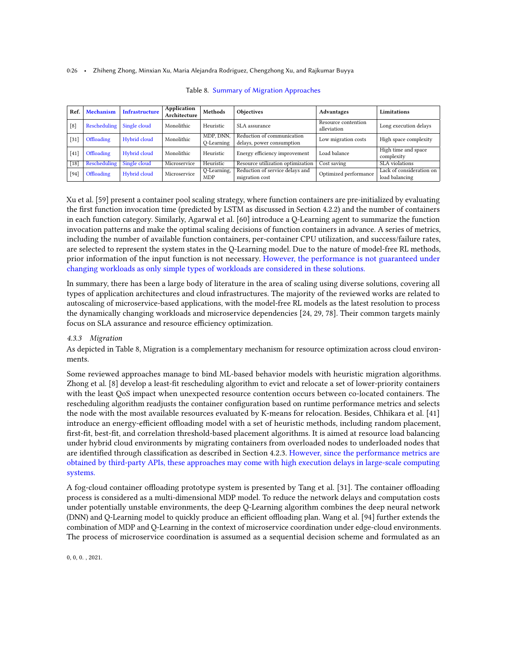<span id="page-25-0"></span>0:26 • Zhiheng Zhong, Minxian Xu, Maria Alejandra Rodriguez, Chengzhong Xu, and Rajkumar Buyya

| Ref.   | <b>Mechanism</b> | Infrastructure | Application<br>Architecture | Methods                   | <b>Objectives</b>                                       | Advantages                         | Limitations                                |
|--------|------------------|----------------|-----------------------------|---------------------------|---------------------------------------------------------|------------------------------------|--------------------------------------------|
| [8]    | Rescheduling     | Single cloud   | Monolithic                  | Heuristic                 | SLA assurance                                           | Resource contention<br>alleviation | Long execution delays                      |
| $[31]$ | Offloading       | Hybrid cloud   | Monolithic                  | MDP. DNN.<br>O-Learning   | Reduction of communication<br>delays, power consumption | Low migration costs                | High space complexity                      |
| [41]   | Offloading       | Hybrid cloud   | Monolithic                  | Heuristic                 | Energy efficiency improvement                           | Load balance                       | High time and space<br>complexity          |
| $[18]$ | Rescheduling     | Single cloud   | Microservice                | Heuristic                 | Resource utilization optimization                       | Cost saving                        | SLA violations                             |
| $[94]$ | Offloading       | Hybrid cloud   | Microservice                | Q-Learning,<br><b>MDP</b> | Reduction of service delays and<br>migration cost       | Optimized performance              | Lack of consideration on<br>load balancing |

#### Table 8. Summary of Migration Approaches

Xu et al. [\[59\]](#page-33-20) present a container pool scaling strategy, where function containers are pre-initialized by evaluating the first function invocation time (predicted by LSTM as discussed in Section [4.2.2\)](#page-18-0) and the number of containers in each function category. Similarly, Agarwal et al. [\[60\]](#page-33-8) introduce a Q-Learning agent to summarize the function invocation patterns and make the optimal scaling decisions of function containers in advance. A series of metrics, including the number of available function containers, per-container CPU utilization, and success/failure rates, are selected to represent the system states in the Q-Learning model. Due to the nature of model-free RL methods, prior information of the input function is not necessary. However, the performance is not guaranteed under changing workloads as only simple types of workloads are considered in these solutions.

In summary, there has been a large body of literature in the area of scaling using diverse solutions, covering all types of application architectures and cloud infrastructures. The majority of the reviewed works are related to autoscaling of microservice-based applications, with the model-free RL models as the latest resolution to process the dynamically changing workloads and microservice dependencies [\[24,](#page-31-19) [29,](#page-32-24) [78\]](#page-34-6). Their common targets mainly focus on SLA assurance and resource efficiency optimization.

# 4.3.3 Migration

As depicted in Table [8,](#page-25-0) Migration is a complementary mechanism for resource optimization across cloud environments.

Some reviewed approaches manage to bind ML-based behavior models with heuristic migration algorithms. Zhong et al. [\[8\]](#page-31-7) develop a least-fit rescheduling algorithm to evict and relocate a set of lower-priority containers with the least QoS impact when unexpected resource contention occurs between co-located containers. The rescheduling algorithm readjusts the container configuration based on runtime performance metrics and selects the node with the most available resources evaluated by K-means for relocation. Besides, Chhikara et al. [\[41\]](#page-32-14) introduce an energy-efficient offloading model with a set of heuristic methods, including random placement, first-fit, best-fit, and correlation threshold-based placement algorithms. It is aimed at resource load balancing under hybrid cloud environments by migrating containers from overloaded nodes to underloaded nodes that are identified through classification as described in Section [4.2.3.](#page-20-1) However, since the performance metrics are obtained by third-party APIs, these approaches may come with high execution delays in large-scale computing systems.

A fog-cloud container offloading prototype system is presented by Tang et al. [\[31\]](#page-32-4). The container offloading process is considered as a multi-dimensional MDP model. To reduce the network delays and computation costs under potentially unstable environments, the deep Q-Learning algorithm combines the deep neural network (DNN) and Q-Learning model to quickly produce an efficient offloading plan. Wang et al. [\[94\]](#page-34-22) further extends the combination of MDP and Q-Learning in the context of microservice coordination under edge-cloud environments. The process of microservice coordination is assumed as a sequential decision scheme and formulated as an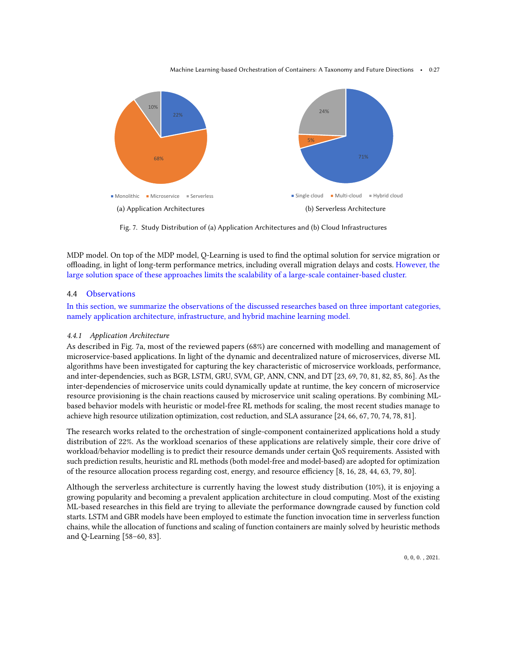<span id="page-26-0"></span>

Fig. 7. Study Distribution of (a) Application Architectures and (b) Cloud Infrastructures

MDP model. On top of the MDP model, Q-Learning is used to find the optimal solution for service migration or offloading, in light of long-term performance metrics, including overall migration delays and costs. However, the large solution space of these approaches limits the scalability of a large-scale container-based cluster.

### 4.4 Observations

In this section, we summarize the observations of the discussed researches based on three important categories, namely application architecture, infrastructure, and hybrid machine learning model.

### 4.4.1 Application Architecture

As described in Fig. [7a,](#page-26-0) most of the reviewed papers (68%) are concerned with modelling and management of microservice-based applications. In light of the dynamic and decentralized nature of microservices, diverse ML algorithms have been investigated for capturing the key characteristic of microservice workloads, performance, and inter-dependencies, such as BGR, LSTM, GRU, SVM, GP, ANN, CNN, and DT [\[23,](#page-31-18) [69,](#page-33-16) [70,](#page-33-17) [81,](#page-34-9) [82,](#page-34-10) [85,](#page-34-13) [86\]](#page-34-14). As the inter-dependencies of microservice units could dynamically update at runtime, the key concern of microservice resource provisioning is the chain reactions caused by microservice unit scaling operations. By combining MLbased behavior models with heuristic or model-free RL methods for scaling, the most recent studies manage to achieve high resource utilization optimization, cost reduction, and SLA assurance [\[24,](#page-31-19) [66,](#page-33-21) [67,](#page-33-14) [70,](#page-33-17) [74,](#page-34-2) [78,](#page-34-6) [81\]](#page-34-9).

The research works related to the orchestration of single-component containerized applications hold a study distribution of 22%. As the workload scenarios of these applications are relatively simple, their core drive of workload/behavior modelling is to predict their resource demands under certain QoS requirements. Assisted with such prediction results, heuristic and RL methods (both model-free and model-based) are adopted for optimization of the resource allocation process regarding cost, energy, and resource efficiency [\[8,](#page-31-7) [16,](#page-31-14) [28,](#page-32-3) [44,](#page-32-17) [63,](#page-33-11) [79,](#page-34-7) [80\]](#page-34-8).

Although the serverless architecture is currently having the lowest study distribution (10%), it is enjoying a growing popularity and becoming a prevalent application architecture in cloud computing. Most of the existing ML-based researches in this field are trying to alleviate the performance downgrade caused by function cold starts. LSTM and GBR models have been employed to estimate the function invocation time in serverless function chains, while the allocation of functions and scaling of function containers are mainly solved by heuristic methods and Q-Learning [\[58](#page-33-7)[–60,](#page-33-8) [83\]](#page-34-11).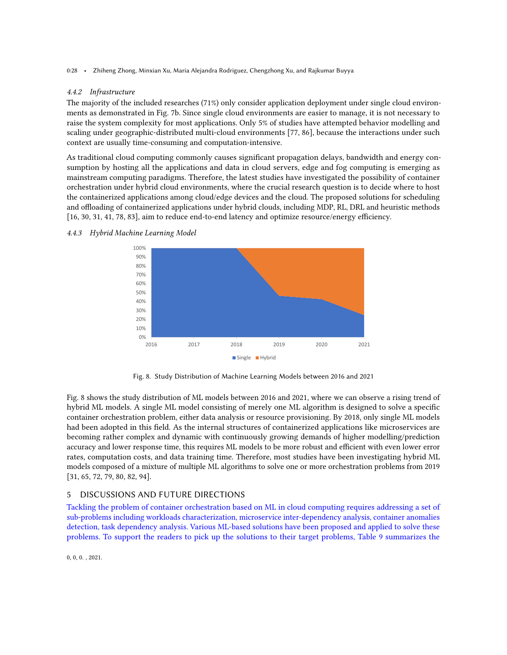0:28 • Zhiheng Zhong, Minxian Xu, Maria Alejandra Rodriguez, Chengzhong Xu, and Rajkumar Buyya

### 4.4.2 Infrastructure

The majority of the included researches (71%) only consider application deployment under single cloud environments as demonstrated in Fig. [7b.](#page-26-0) Since single cloud environments are easier to manage, it is not necessary to raise the system complexity for most applications. Only 5% of studies have attempted behavior modelling and scaling under geographic-distributed multi-cloud environments [\[77,](#page-34-5) [86\]](#page-34-14), because the interactions under such context are usually time-consuming and computation-intensive.

As traditional cloud computing commonly causes significant propagation delays, bandwidth and energy consumption by hosting all the applications and data in cloud servers, edge and fog computing is emerging as mainstream computing paradigms. Therefore, the latest studies have investigated the possibility of container orchestration under hybrid cloud environments, where the crucial research question is to decide where to host the containerized applications among cloud/edge devices and the cloud. The proposed solutions for scheduling and offloading of containerized applications under hybrid clouds, including MDP, RL, DRL and heuristic methods [\[16,](#page-31-14) [30,](#page-32-25) [31,](#page-32-4) [41,](#page-32-14) [78,](#page-34-6) [83\]](#page-34-11), aim to reduce end-to-end latency and optimize resource/energy efficiency.

### <span id="page-27-1"></span>4.4.3 Hybrid Machine Learning Model



Fig. 8. Study Distribution of Machine Learning Models between 2016 and 2021

Fig. [8](#page-27-1) shows the study distribution of ML models between 2016 and 2021, where we can observe a rising trend of hybrid ML models. A single ML model consisting of merely one ML algorithm is designed to solve a specific container orchestration problem, either data analysis or resource provisioning. By 2018, only single ML models had been adopted in this field. As the internal structures of containerized applications like microservices are becoming rather complex and dynamic with continuously growing demands of higher modelling/prediction accuracy and lower response time, this requires ML models to be more robust and efficient with even lower error rates, computation costs, and data training time. Therefore, most studies have been investigating hybrid ML models composed of a mixture of multiple ML algorithms to solve one or more orchestration problems from 2019 [\[31,](#page-32-4) [65,](#page-33-13) [72,](#page-33-19) [79,](#page-34-7) [80,](#page-34-8) [82,](#page-34-10) [94\]](#page-34-22).

# <span id="page-27-0"></span>5 DISCUSSIONS AND FUTURE DIRECTIONS

Tackling the problem of container orchestration based on ML in cloud computing requires addressing a set of sub-problems including workloads characterization, microservice inter-dependency analysis, container anomalies detection, task dependency analysis. Various ML-based solutions have been proposed and applied to solve these problems. To support the readers to pick up the solutions to their target problems, Table [9](#page-28-0) summarizes the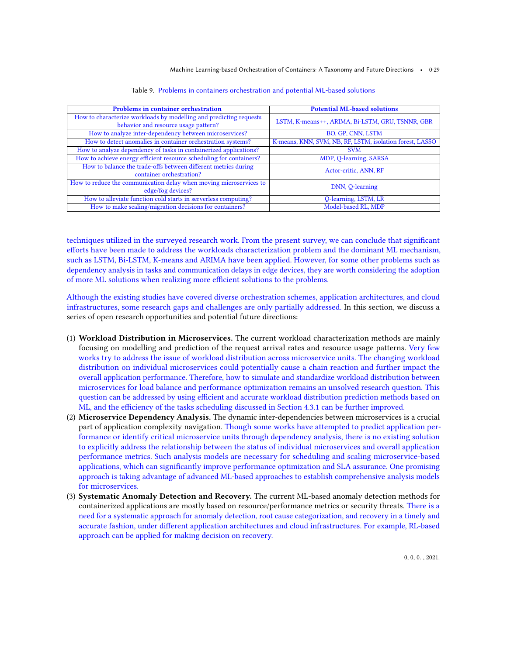#### Machine Learning-based Orchestration of Containers: A Taxonomy and Future Directions • 0:29

<span id="page-28-0"></span>

| <b>Problems in container orchestration</b>                          | <b>Potential ML-based solutions</b>                      |  |
|---------------------------------------------------------------------|----------------------------------------------------------|--|
| How to characterize workloads by modelling and predicting requests  | LSTM, K-means++, ARIMA, Bi-LSTM, GRU, TSNNR, GBR         |  |
| behavior and resource usage pattern?                                |                                                          |  |
| How to analyze inter-dependency between microservices?              | BO, GP, CNN, LSTM                                        |  |
| How to detect anomalies in container orchestration systems?         | K-means, KNN, SVM, NB, RF, LSTM, isolation forest, LASSO |  |
| How to analyze dependency of tasks in containerized applications?   | <b>SVM</b>                                               |  |
| How to achieve energy efficient resource scheduling for containers? | MDP, Q-learning, SARSA                                   |  |
| How to balance the trade-offs between different metrics during      | Actor-critic, ANN, RF                                    |  |
| container orchestration?                                            |                                                          |  |
| How to reduce the communication delay when moving microservices to  | DNN, Q-learning                                          |  |
| edge/fog devices?                                                   |                                                          |  |
| How to alleviate function cold starts in serverless computing?      | <b>Q-learning, LSTM, LR</b>                              |  |
| How to make scaling/migration decisions for containers?             | Model-based RL, MDP                                      |  |

Table 9. Problems in containers orchestration and potential ML-based solutions

techniques utilized in the surveyed research work. From the present survey, we can conclude that significant efforts have been made to address the workloads characterization problem and the dominant ML mechanism, such as LSTM, Bi-LSTM, K-means and ARIMA have been applied. However, for some other problems such as dependency analysis in tasks and communication delays in edge devices, they are worth considering the adoption of more ML solutions when realizing more efficient solutions to the problems.

Although the existing studies have covered diverse orchestration schemes, application architectures, and cloud infrastructures, some research gaps and challenges are only partially addressed. In this section, we discuss a series of open research opportunities and potential future directions:

- (1) Workload Distribution in Microservices. The current workload characterization methods are mainly focusing on modelling and prediction of the request arrival rates and resource usage patterns. Very few works try to address the issue of workload distribution across microservice units. The changing workload distribution on individual microservices could potentially cause a chain reaction and further impact the overall application performance. Therefore, how to simulate and standardize workload distribution between microservices for load balance and performance optimization remains an unsolved research question. This question can be addressed by using efficient and accurate workload distribution prediction methods based on ML, and the efficiency of the tasks scheduling discussed in Section [4.3.1](#page-22-1) can be further improved.
- (2) Microservice Dependency Analysis. The dynamic inter-dependencies between microservices is a crucial part of application complexity navigation. Though some works have attempted to predict application performance or identify critical microservice units through dependency analysis, there is no existing solution to explicitly address the relationship between the status of individual microservices and overall application performance metrics. Such analysis models are necessary for scheduling and scaling microservice-based applications, which can significantly improve performance optimization and SLA assurance. One promising approach is taking advantage of advanced ML-based approaches to establish comprehensive analysis models for microservices.
- (3) Systematic Anomaly Detection and Recovery. The current ML-based anomaly detection methods for containerized applications are mostly based on resource/performance metrics or security threats. There is a need for a systematic approach for anomaly detection, root cause categorization, and recovery in a timely and accurate fashion, under different application architectures and cloud infrastructures. For example, RL-based approach can be applied for making decision on recovery.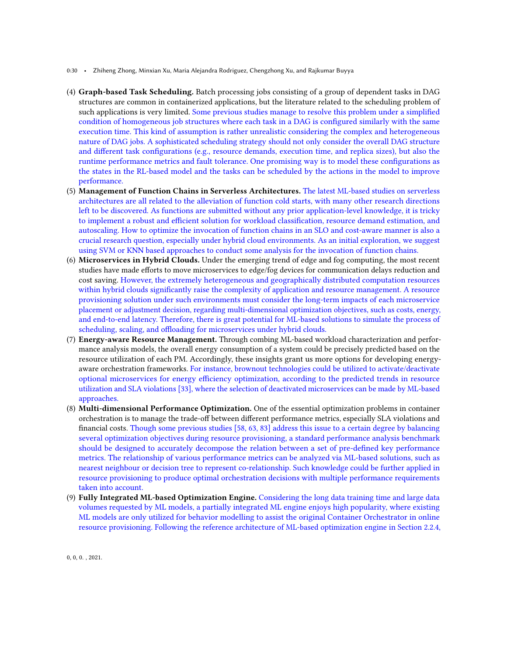- 0:30 Zhiheng Zhong, Minxian Xu, Maria Alejandra Rodriguez, Chengzhong Xu, and Rajkumar Buyya
- (4) Graph-based Task Scheduling. Batch processing jobs consisting of a group of dependent tasks in DAG structures are common in containerized applications, but the literature related to the scheduling problem of such applications is very limited. Some previous studies manage to resolve this problem under a simplified condition of homogeneous job structures where each task in a DAG is configured similarly with the same execution time. This kind of assumption is rather unrealistic considering the complex and heterogeneous nature of DAG jobs. A sophisticated scheduling strategy should not only consider the overall DAG structure and different task configurations (e.g., resource demands, execution time, and replica sizes), but also the runtime performance metrics and fault tolerance. One promising way is to model these configurations as the states in the RL-based model and the tasks can be scheduled by the actions in the model to improve performance.
- (5) Management of Function Chains in Serverless Architectures. The latest ML-based studies on serverless architectures are all related to the alleviation of function cold starts, with many other research directions left to be discovered. As functions are submitted without any prior application-level knowledge, it is tricky to implement a robust and efficient solution for workload classification, resource demand estimation, and autoscaling. How to optimize the invocation of function chains in an SLO and cost-aware manner is also a crucial research question, especially under hybrid cloud environments. As an initial exploration, we suggest using SVM or KNN based approaches to conduct some analysis for the invocation of function chains.
- (6) Microservices in Hybrid Clouds. Under the emerging trend of edge and fog computing, the most recent studies have made efforts to move microservices to edge/fog devices for communication delays reduction and cost saving. However, the extremely heterogeneous and geographically distributed computation resources within hybrid clouds significantly raise the complexity of application and resource management. A resource provisioning solution under such environments must consider the long-term impacts of each microservice placement or adjustment decision, regarding multi-dimensional optimization objectives, such as costs, energy, and end-to-end latency. Therefore, there is great potential for ML-based solutions to simulate the process of scheduling, scaling, and offloading for microservices under hybrid clouds.
- (7) Energy-aware Resource Management. Through combing ML-based workload characterization and performance analysis models, the overall energy consumption of a system could be precisely predicted based on the resource utilization of each PM. Accordingly, these insights grant us more options for developing energyaware orchestration frameworks. For instance, brownout technologies could be utilized to activate/deactivate optional microservices for energy efficiency optimization, according to the predicted trends in resource utilization and SLA violations [\[33\]](#page-32-6), where the selection of deactivated microservices can be made by ML-based approaches.
- (8) Multi-dimensional Performance Optimization. One of the essential optimization problems in container orchestration is to manage the trade-off between different performance metrics, especially SLA violations and financial costs. Though some previous studies [\[58,](#page-33-7) [63,](#page-33-11) [83\]](#page-34-11) address this issue to a certain degree by balancing several optimization objectives during resource provisioning, a standard performance analysis benchmark should be designed to accurately decompose the relation between a set of pre-defined key performance metrics. The relationship of various performance metrics can be analyzed via ML-based solutions, such as nearest neighbour or decision tree to represent co-relationship. Such knowledge could be further applied in resource provisioning to produce optimal orchestration decisions with multiple performance requirements taken into account.
- (9) Fully Integrated ML-based Optimization Engine. Considering the long data training time and large data volumes requested by ML models, a partially integrated ML engine enjoys high popularity, where existing ML models are only utilized for behavior modelling to assist the original Container Orchestrator in online resource provisioning. Following the reference architecture of ML-based optimization engine in Section [2.2.4,](#page-7-0)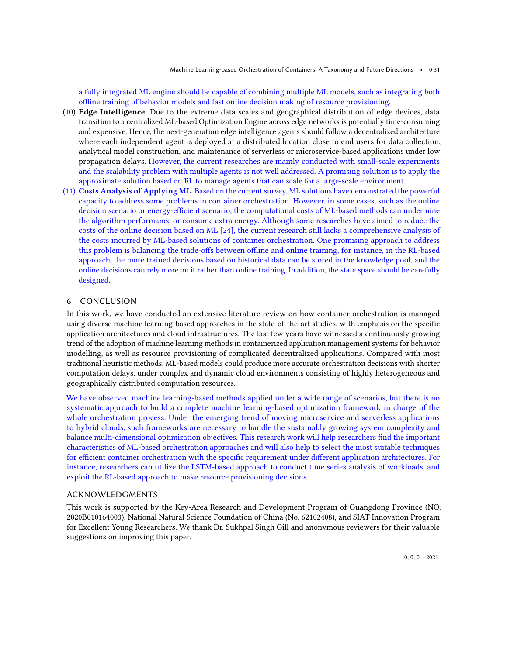a fully integrated ML engine should be capable of combining multiple ML models, such as integrating both offline training of behavior models and fast online decision making of resource provisioning.

- (10) Edge Intelligence. Due to the extreme data scales and geographical distribution of edge devices, data transition to a centralized ML-based Optimization Engine across edge networks is potentially time-consuming and expensive. Hence, the next-generation edge intelligence agents should follow a decentralized architecture where each independent agent is deployed at a distributed location close to end users for data collection, analytical model construction, and maintenance of serverless or microservice-based applications under low propagation delays. However, the current researches are mainly conducted with small-scale experiments and the scalability problem with multiple agents is not well addressed. A promising solution is to apply the approximate solution based on RL to manage agents that can scale for a large-scale environment.
- (11) Costs Analysis of Applying ML. Based on the current survey, ML solutions have demonstrated the powerful capacity to address some problems in container orchestration. However, in some cases, such as the online decision scenario or energy-efficient scenario, the computational costs of ML-based methods can undermine the algorithm performance or consume extra energy. Although some researches have aimed to reduce the costs of the online decision based on ML [\[24\]](#page-31-19), the current research still lacks a comprehensive analysis of the costs incurred by ML-based solutions of container orchestration. One promising approach to address this problem is balancing the trade-offs between offline and online training, for instance, in the RL-based approach, the more trained decisions based on historical data can be stored in the knowledge pool, and the online decisions can rely more on it rather than online training. In addition, the state space should be carefully designed.

### <span id="page-30-0"></span>6 CONCLUSION

In this work, we have conducted an extensive literature review on how container orchestration is managed using diverse machine learning-based approaches in the state-of-the-art studies, with emphasis on the specific application architectures and cloud infrastructures. The last few years have witnessed a continuously growing trend of the adoption of machine learning methods in containerized application management systems for behavior modelling, as well as resource provisioning of complicated decentralized applications. Compared with most traditional heuristic methods, ML-based models could produce more accurate orchestration decisions with shorter computation delays, under complex and dynamic cloud environments consisting of highly heterogeneous and geographically distributed computation resources.

We have observed machine learning-based methods applied under a wide range of scenarios, but there is no systematic approach to build a complete machine learning-based optimization framework in charge of the whole orchestration process. Under the emerging trend of moving microservice and serverless applications to hybrid clouds, such frameworks are necessary to handle the sustainably growing system complexity and balance multi-dimensional optimization objectives. This research work will help researchers find the important characteristics of ML-based orchestration approaches and will also help to select the most suitable techniques for efficient container orchestration with the specific requirement under different application architectures. For instance, researchers can utilize the LSTM-based approach to conduct time series analysis of workloads, and exploit the RL-based approach to make resource provisioning decisions.

### ACKNOWLEDGMENTS

This work is supported by the Key-Area Research and Development Program of Guangdong Province (NO. 2020B010164003), National Natural Science Foundation of China (No. 62102408), and SIAT Innovation Program for Excellent Young Researchers. We thank Dr. Sukhpal Singh Gill and anonymous reviewers for their valuable suggestions on improving this paper.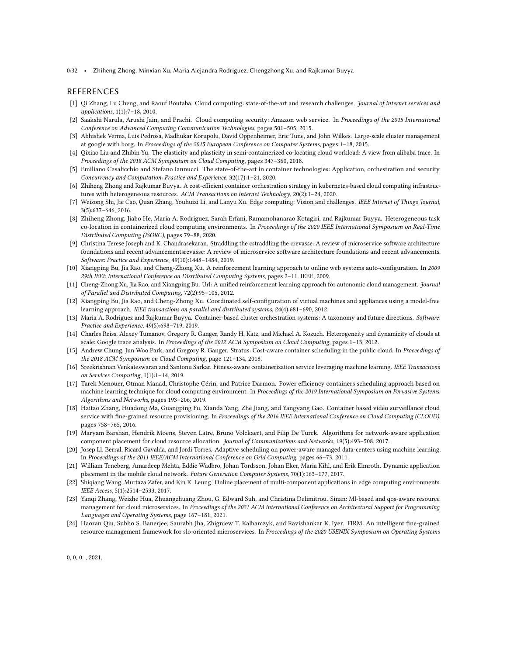0:32 • Zhiheng Zhong, Minxian Xu, Maria Alejandra Rodriguez, Chengzhong Xu, and Rajkumar Buyya

#### REFERENCES

- <span id="page-31-0"></span>[1] Qi Zhang, Lu Cheng, and Raouf Boutaba. Cloud computing: state-of-the-art and research challenges. Journal of internet services and applications, 1(1):7–18, 2010.
- <span id="page-31-1"></span>[2] Saakshi Narula, Arushi Jain, and Prachi. Cloud computing security: Amazon web service. In Proceedings of the 2015 International Conference on Advanced Computing Communication Technologies, pages 501–505, 2015.
- <span id="page-31-2"></span>[3] Abhishek Verma, Luis Pedrosa, Madhukar Korupolu, David Oppenheimer, Eric Tune, and John Wilkes. Large-scale cluster management at google with borg. In Proceedings of the 2015 European Conference on Computer Systems, pages 1–18, 2015.
- <span id="page-31-3"></span>[4] Qixiao Liu and Zhibin Yu. The elasticity and plasticity in semi-containerized co-locating cloud workload: A view from alibaba trace. In Proceedings of the 2018 ACM Symposium on Cloud Computing, pages 347–360, 2018.
- <span id="page-31-4"></span>[5] Emiliano Casalicchio and Stefano Iannucci. The state-of-the-art in container technologies: Application, orchestration and security. Concurrency and Computation: Practice and Experience, 32(17):1–21, 2020.
- <span id="page-31-5"></span>[6] Zhiheng Zhong and Rajkumar Buyya. A cost-efficient container orchestration strategy in kubernetes-based cloud computing infrastructures with heterogeneous resources. ACM Transactions on Internet Technology, 20(2):1–24, 2020.
- <span id="page-31-6"></span>[7] Weisong Shi, Jie Cao, Quan Zhang, Youhuizi Li, and Lanyu Xu. Edge computing: Vision and challenges. IEEE Internet of Things Journal, 3(5):637–646, 2016.
- <span id="page-31-7"></span>[8] Zhiheng Zhong, Jiabo He, Maria A. Rodriguez, Sarah Erfani, Ramamohanarao Kotagiri, and Rajkumar Buyya. Heterogeneous task co-location in containerized cloud computing environments. In Proceedings of the 2020 IEEE International Symposium on Real-Time Distributed Computing (ISORC), pages 79–88, 2020.
- <span id="page-31-8"></span>[9] Christina Terese Joseph and K. Chandrasekaran. Straddling the cstraddling the crevasse: A review of microservice software architecture foundations and recent advancementsrevasse: A review of microservice software architecture foundations and recent advancements. Software: Practice and Experience, 49(10):1448–1484, 2019.
- <span id="page-31-9"></span>[10] Xiangping Bu, Jia Rao, and Cheng-Zhong Xu. A reinforcement learning approach to online web systems auto-configuration. In 2009 29th IEEE International Conference on Distributed Computing Systems, pages 2–11. IEEE, 2009.
- [11] Cheng-Zhong Xu, Jia Rao, and Xiangping Bu. Url: A unified reinforcement learning approach for autonomic cloud management. Journal of Parallel and Distributed Computing, 72(2):95–105, 2012.
- <span id="page-31-10"></span>[12] Xiangping Bu, Jia Rao, and Cheng-Zhong Xu. Coordinated self-configuration of virtual machines and appliances using a model-free learning approach. IEEE transactions on parallel and distributed systems, 24(4):681–690, 2012.
- <span id="page-31-11"></span>[13] Maria A. Rodriguez and Rajkumar Buyya. Container-based cluster orchestration systems: A taxonomy and future directions. Software: Practice and Experience, 49(5):698–719, 2019.
- <span id="page-31-12"></span>[14] Charles Reiss, Alexey Tumanov, Gregory R. Ganger, Randy H. Katz, and Michael A. Kozuch. Heterogeneity and dynamicity of clouds at scale: Google trace analysis. In Proceedings of the 2012 ACM Symposium on Cloud Computing, pages 1-13, 2012.
- <span id="page-31-13"></span>[15] Andrew Chung, Jun Woo Park, and Gregory R. Ganger. Stratus: Cost-aware container scheduling in the public cloud. In Proceedings of the 2018 ACM Symposium on Cloud Computing, page 121–134, 2018.
- <span id="page-31-14"></span>[16] Sreekrishnan Venkateswaran and Santonu Sarkar. Fitness-aware containerization service leveraging machine learning. IEEE Transactions on Services Computing, 1(1):1–14, 2019.
- [17] Tarek Menouer, Otman Manad, Christophe Cérin, and Patrice Darmon. Power efficiency containers scheduling approach based on machine learning technique for cloud computing environment. In Proceedings of the 2019 International Symposium on Pervasive Systems, Algorithms and Networks, pages 193–206, 2019.
- <span id="page-31-15"></span>[18] Haitao Zhang, Huadong Ma, Guangping Fu, Xianda Yang, Zhe Jiang, and Yangyang Gao. Container based video surveillance cloud service with fine-grained resource provisioning. In Proceedings of the 2016 IEEE International Conference on Cloud Computing (CLOUD), pages 758–765, 2016.
- <span id="page-31-16"></span>[19] Maryam Barshan, Hendrik Moens, Steven Latre, Bruno Volckaert, and Filip De Turck. Algorithms for network-aware application component placement for cloud resource allocation. Journal of Communications and Networks, 19(5):493–508, 2017.
- [20] Josep Ll. Berral, Ricard Gavalda, and Jordi Torres. Adaptive scheduling on power-aware managed data-centers using machine learning. In Proceedings of the 2011 IEEE/ACM International Conference on Grid Computing, pages 66–73, 2011.
- [21] William Trneberg, Amardeep Mehta, Eddie Wadbro, Johan Tordsson, Johan Eker, Maria Kihl, and Erik Elmroth. Dynamic application placement in the mobile cloud network. Future Generation Computer Systems, 70(1):163–177, 2017.
- <span id="page-31-17"></span>[22] Shiqiang Wang, Murtaza Zafer, and Kin K. Leung. Online placement of multi-component applications in edge computing environments. IEEE Access, 5(1):2514–2533, 2017.
- <span id="page-31-18"></span>[23] Yanqi Zhang, Weizhe Hua, Zhuangzhuang Zhou, G. Edward Suh, and Christina Delimitrou. Sinan: Ml-based and qos-aware resource management for cloud microservices. In Proceedings of the 2021 ACM International Conference on Architectural Support for Programming Languages and Operating Systems, page 167–181, 2021.
- <span id="page-31-19"></span>[24] Haoran Qiu, Subho S. Banerjee, Saurabh Jha, Zbigniew T. Kalbarczyk, and Ravishankar K. Iyer. FIRM: An intelligent fine-grained resource management framework for slo-oriented microservices. In Proceedings of the 2020 USENIX Symposium on Operating Systems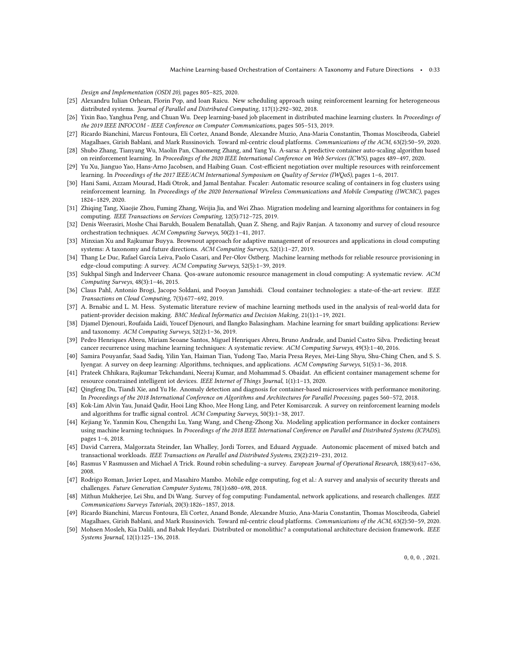Design and Implementation (OSDI 20), pages 805–825, 2020.

- <span id="page-32-0"></span>[25] Alexandru Iulian Orhean, Florin Pop, and Ioan Raicu. New scheduling approach using reinforcement learning for heterogeneous distributed systems. Journal of Parallel and Distributed Computing, 117(1):292–302, 2018.
- <span id="page-32-1"></span>[26] Yixin Bao, Yanghua Peng, and Chuan Wu. Deep learning-based job placement in distributed machine learning clusters. In Proceedings of the 2019 IEEE INFOCOM - IEEE Conference on Computer Communications, pages 505–513, 2019.
- <span id="page-32-2"></span>[27] Ricardo Bianchini, Marcus Fontoura, Eli Cortez, Anand Bonde, Alexandre Muzio, Ana-Maria Constantin, Thomas Moscibroda, Gabriel Magalhaes, Girish Bablani, and Mark Russinovich. Toward ml-centric cloud platforms. Communications of the ACM, 63(2):50–59, 2020.
- <span id="page-32-3"></span>[28] Shubo Zhang, Tianyang Wu, Maolin Pan, Chaomeng Zhang, and Yang Yu. A-sarsa: A predictive container auto-scaling algorithm based on reinforcement learning. In Proceedings of the 2020 IEEE International Conference on Web Services (ICWS), pages 489–497, 2020.
- <span id="page-32-24"></span>[29] Yu Xu, Jianguo Yao, Hans-Arno Jacobsen, and Haibing Guan. Cost-efficient negotiation over multiple resources with reinforcement learning. In Proceedings of the 2017 IEEE/ACM International Symposium on Quality of Service (IWQoS), pages 1–6, 2017.
- <span id="page-32-25"></span>[30] Hani Sami, Azzam Mourad, Hadi Otrok, and Jamal Bentahar. Fscaler: Automatic resource scaling of containers in fog clusters using reinforcement learning. In Proceedings of the 2020 International Wireless Communications and Mobile Computing (IWCMC), pages 1824–1829, 2020.
- <span id="page-32-4"></span>[31] Zhiqing Tang, Xiaojie Zhou, Fuming Zhang, Weijia Jia, and Wei Zhao. Migration modeling and learning algorithms for containers in fog computing. IEEE Transactions on Services Computing, 12(5):712–725, 2019.
- <span id="page-32-5"></span>[32] Denis Weerasiri, Moshe Chai Barukh, Boualem Benatallah, Quan Z. Sheng, and Rajiv Ranjan. A taxonomy and survey of cloud resource orchestration techniques. ACM Computing Surveys, 50(2):1–41, 2017.
- <span id="page-32-6"></span>[33] Minxian Xu and Rajkumar Buyya. Brownout approach for adaptive management of resources and applications in cloud computing systems: A taxonomy and future directions. ACM Computing Surveys, 52(1):1–27, 2019.
- <span id="page-32-7"></span>[34] Thang Le Duc, Rafael García Leiva, Paolo Casari, and Per-Olov Östberg. Machine learning methods for reliable resource provisioning in edge-cloud computing: A survey. ACM Computing Surveys, 52(5):1–39, 2019.
- <span id="page-32-8"></span>[35] Sukhpal Singh and Inderveer Chana. Qos-aware autonomic resource management in cloud computing: A systematic review. ACM Computing Surveys, 48(3):1–46, 2015.
- <span id="page-32-9"></span>[36] Claus Pahl, Antonio Brogi, Jacopo Soldani, and Pooyan Jamshidi. Cloud container technologies: a state-of-the-art review. IEEE Transactions on Cloud Computing, 7(3):677–692, 2019.
- <span id="page-32-10"></span>[37] A. Brnabic and L. M. Hess. Systematic literature review of machine learning methods used in the analysis of real-world data for patient-provider decision making. BMC Medical Informatics and Decision Making, 21(1):1–19, 2021.
- <span id="page-32-11"></span>[38] Djamel Djenouri, Roufaida Laidi, Youcef Djenouri, and Ilangko Balasingham. Machine learning for smart building applications: Review and taxonomy. ACM Computing Surveys, 52(2):1–36, 2019.
- <span id="page-32-12"></span>[39] Pedro Henriques Abreu, Miriam Seoane Santos, Miguel Henriques Abreu, Bruno Andrade, and Daniel Castro Silva. Predicting breast cancer recurrence using machine learning techniques: A systematic review. ACM Computing Surveys, 49(3):1–40, 2016.
- <span id="page-32-13"></span>[40] Samira Pouyanfar, Saad Sadiq, Yilin Yan, Haiman Tian, Yudong Tao, Maria Presa Reyes, Mei-Ling Shyu, Shu-Ching Chen, and S. S. Iyengar. A survey on deep learning: Algorithms, techniques, and applications. ACM Computing Surveys, 51(5):1–36, 2018.
- <span id="page-32-14"></span>[41] Prateek Chhikara, Rajkumar Tekchandani, Neeraj Kumar, and Mohammad S. Obaidat. An efficient container management scheme for resource constrained intelligent iot devices. IEEE Internet of Things Journal, 1(1):1–13, 2020.
- <span id="page-32-15"></span>[42] Qingfeng Du, Tiandi Xie, and Yu He. Anomaly detection and diagnosis for container-based microservices with performance monitoring. In Proceedings of the 2018 International Conference on Algorithms and Architectures for Parallel Processing, pages 560–572, 2018.
- <span id="page-32-16"></span>[43] Kok-Lim Alvin Yau, Junaid Qadir, Hooi Ling Khoo, Mee Hong Ling, and Peter Komisarczuk. A survey on reinforcement learning models and algorithms for traffic signal control. ACM Computing Surveys, 50(3):1–38, 2017.
- <span id="page-32-17"></span>[44] Kejiang Ye, Yanmin Kou, Chengzhi Lu, Yang Wang, and Cheng-Zhong Xu. Modeling application performance in docker containers using machine learning techniques. In Proceedings of the 2018 IEEE International Conference on Parallel and Distributed Systems (ICPADS), pages 1–6, 2018.
- <span id="page-32-18"></span>[45] David Carrera, Malgorzata Steinder, Ian Whalley, Jordi Torres, and Eduard Ayguade. Autonomic placement of mixed batch and transactional workloads. IEEE Transactions on Parallel and Distributed Systems, 23(2):219–231, 2012.
- <span id="page-32-19"></span>[46] Rasmus V Rasmussen and Michael A Trick. Round robin scheduling–a survey. European Journal of Operational Research, 188(3):617–636, 2008.
- <span id="page-32-20"></span>[47] Rodrigo Roman, Javier Lopez, and Masahiro Mambo. Mobile edge computing, fog et al.: A survey and analysis of security threats and challenges. Future Generation Computer Systems, 78(1):680–698, 2018.
- <span id="page-32-21"></span>[48] Mithun Mukherjee, Lei Shu, and Di Wang. Survey of fog computing: Fundamental, network applications, and research challenges. IEEE Communications Surveys Tutorials, 20(3):1826–1857, 2018.
- <span id="page-32-22"></span>[49] Ricardo Bianchini, Marcus Fontoura, Eli Cortez, Anand Bonde, Alexandre Muzio, Ana-Maria Constantin, Thomas Moscibroda, Gabriel Magalhaes, Girish Bablani, and Mark Russinovich. Toward ml-centric cloud platforms. Communications of the ACM, 63(2):50–59, 2020.
- <span id="page-32-23"></span>[50] Mohsen Mosleh, Kia Dalili, and Babak Heydari. Distributed or monolithic? a computational architecture decision framework. IEEE Systems Journal, 12(1):125–136, 2018.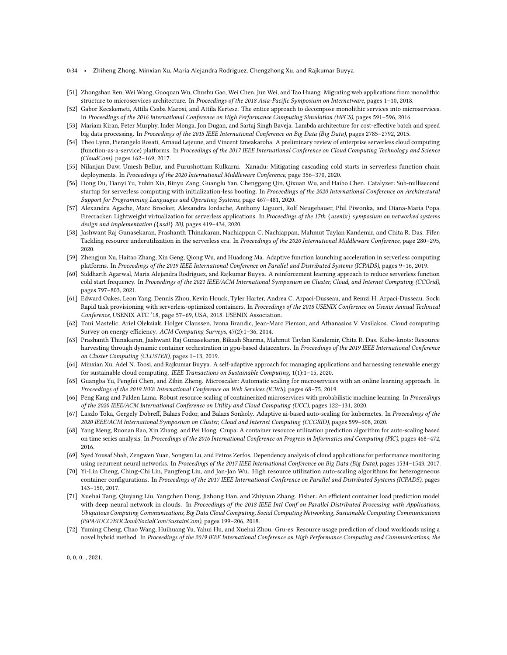- 0:34 Zhiheng Zhong, Minxian Xu, Maria Alejandra Rodriguez, Chengzhong Xu, and Rajkumar Buyya
- <span id="page-33-0"></span>[51] Zhongshan Ren, Wei Wang, Guoquan Wu, Chushu Gao, Wei Chen, Jun Wei, and Tao Huang. Migrating web applications from monolithic structure to microservices architecture. In Proceedings of the 2018 Asia-Pacific Symposium on Internetware, pages 1–10, 2018.
- <span id="page-33-1"></span>[52] Gabor Kecskemeti, Attila Csaba Marosi, and Attila Kertesz. The entice approach to decompose monolithic services into microservices. In Proceedings of the 2016 International Conference on High Performance Computing Simulation (HPCS), pages 591–596, 2016.
- <span id="page-33-2"></span>[53] Mariam Kiran, Peter Murphy, Inder Monga, Jon Dugan, and Sartaj Singh Baveja. Lambda architecture for cost-effective batch and speed big data processing. In Proceedings of the 2015 IEEE International Conference on Big Data (Big Data), pages 2785–2792, 2015.
- <span id="page-33-3"></span>[54] Theo Lynn, Pierangelo Rosati, Arnaud Lejeune, and Vincent Emeakaroha. A preliminary review of enterprise serverless cloud computing (function-as-a-service) platforms. In Proceedings of the 2017 IEEE International Conference on Cloud Computing Technology and Science (CloudCom), pages 162–169, 2017.
- <span id="page-33-4"></span>[55] Nilanjan Daw, Umesh Bellur, and Purushottam Kulkarni. Xanadu: Mitigating cascading cold starts in serverless function chain deployments. In Proceedings of the 2020 International Middleware Conference, page 356–370, 2020.
- <span id="page-33-5"></span>[56] Dong Du, Tianyi Yu, Yubin Xia, Binyu Zang, Guanglu Yan, Chenggang Qin, Qixuan Wu, and Haibo Chen. Catalyzer: Sub-millisecond startup for serverless computing with initialization-less booting. In Proceedings of the 2020 International Conference on Architectural Support for Programming Languages and Operating Systems, page 467–481, 2020.
- <span id="page-33-6"></span>[57] Alexandru Agache, Marc Brooker, Alexandra Iordache, Anthony Liguori, Rolf Neugebauer, Phil Piwonka, and Diana-Maria Popa. Firecracker: Lightweight virtualization for serverless applications. In Proceedings of the 17th {usenix} symposium on networked systems design and implementation ({nsdi} 20), pages 419–434, 2020.
- <span id="page-33-7"></span>[58] Jashwant Raj Gunasekaran, Prashanth Thinakaran, Nachiappan C. Nachiappan, Mahmut Taylan Kandemir, and Chita R. Das. Fifer: Tackling resource underutilization in the serverless era. In Proceedings of the 2020 International Middleware Conference, page 280–295, 2020.
- <span id="page-33-20"></span>[59] Zhengjun Xu, Haitao Zhang, Xin Geng, Qiong Wu, and Huadong Ma. Adaptive function launching acceleration in serverless computing platforms. In Proceedings of the 2019 IEEE International Conference on Parallel and Distributed Systems (ICPADS), pages 9–16, 2019.
- <span id="page-33-8"></span>[60] Siddharth Agarwal, Maria Alejandra Rodriguez, and Rajkumar Buyya. A reinforcement learning approach to reduce serverless function cold start frequency. In Proceedings of the 2021 IEEE/ACM International Symposium on Cluster, Cloud, and Internet Computing (CCGrid), pages 797–803, 2021.
- <span id="page-33-9"></span>[61] Edward Oakes, Leon Yang, Dennis Zhou, Kevin Houck, Tyler Harter, Andrea C. Arpaci-Dusseau, and Remzi H. Arpaci-Dusseau. Sock: Rapid task provisioning with serverless-optimized containers. In Proceedings of the 2018 USENIX Conference on Usenix Annual Technical Conference, USENIX ATC '18, page 57–69, USA, 2018. USENIX Association.
- <span id="page-33-10"></span>[62] Toni Mastelic, Ariel Oleksiak, Holger Claussen, Ivona Brandic, Jean-Marc Pierson, and Athanasios V. Vasilakos. Cloud computing: Survey on energy efficiency. ACM Computing Surveys, 47(2):1–36, 2014.
- <span id="page-33-11"></span>[63] Prashanth Thinakaran, Jashwant Raj Gunasekaran, Bikash Sharma, Mahmut Taylan Kandemir, Chita R. Das. Kube-knots: Resource harvesting through dynamic container orchestration in gpu-based datacenters. In Proceedings of the 2019 IEEE International Conference on Cluster Computing (CLUSTER), pages 1–13, 2019.
- <span id="page-33-12"></span>[64] Minxian Xu, Adel N. Toosi, and Rajkumar Buyya. A self-adaptive approach for managing applications and harnessing renewable energy for sustainable cloud computing. IEEE Transactions on Sustainable Computing, 1(1):1–15, 2020.
- <span id="page-33-13"></span>[65] Guangba Yu, Pengfei Chen, and Zibin Zheng. Microscaler: Automatic scaling for microservices with an online learning approach. In Proceedings of the 2019 IEEE International Conference on Web Services (ICWS), pages 68–75, 2019.
- <span id="page-33-21"></span>[66] Peng Kang and Palden Lama. Robust resource scaling of containerized microservices with probabilistic machine learning. In Proceedings of the 2020 IEEE/ACM International Conference on Utility and Cloud Computing (UCC), pages 122–131, 2020.
- <span id="page-33-14"></span>[67] Laszlo Toka, Gergely Dobreff, Balazs Fodor, and Balazs Sonkoly. Adaptive ai-based auto-scaling for kubernetes. In Proceedings of the 2020 IEEE/ACM International Symposium on Cluster, Cloud and Internet Computing (CCGRID), pages 599–608, 2020.
- <span id="page-33-15"></span>[68] Yang Meng, Ruonan Rao, Xin Zhang, and Pei Hong. Crupa: A container resource utilization prediction algorithm for auto-scaling based on time series analysis. In Proceedings of the 2016 International Conference on Progress in Informatics and Computing (PIC), pages 468–472, 2016.
- <span id="page-33-16"></span>[69] Syed Yousaf Shah, Zengwen Yuan, Songwu Lu, and Petros Zerfos. Dependency analysis of cloud applications for performance monitoring using recurrent neural networks. In Proceedings of the 2017 IEEE International Conference on Big Data (Big Data), pages 1534–1543, 2017.
- <span id="page-33-17"></span>[70] Yi-Lin Cheng, Ching-Chi Lin, Pangfeng Liu, and Jan-Jan Wu. High resource utilization auto-scaling algorithms for heterogeneous container configurations. In Proceedings of the 2017 IEEE International Conference on Parallel and Distributed Systems (ICPADS), pages 143–150, 2017.
- <span id="page-33-18"></span>[71] Xuehai Tang, Qiuyang Liu, Yangchen Dong, Jizhong Han, and Zhiyuan Zhang. Fisher: An efficient container load prediction model with deep neural network in clouds. In Proceedings of the 2018 IEEE Intl Conf on Parallel Distributed Processing with Applications, Ubiquitous Computing Communications, Big Data Cloud Computing, Social Computing Networking, Sustainable Computing Communications (ISPA/IUCC/BDCloud/SocialCom/SustainCom), pages 199–206, 2018.
- <span id="page-33-19"></span>[72] Yuming Cheng, Chao Wang, Huihuang Yu, Yahui Hu, and Xuehai Zhou. Gru-es: Resource usage prediction of cloud workloads using a novel hybrid method. In Proceedings of the 2019 IEEE International Conference on High Performance Computing and Communications; the